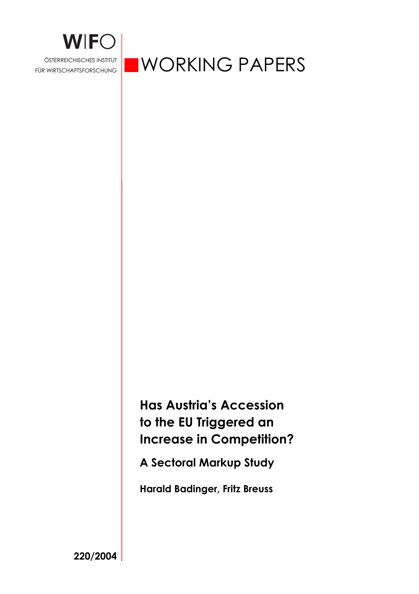

# WORKING PAPERS

**Has Austria's Accession to the EU Triggered an Increase in Competition?** 

**A Sectoral Markup Study** 

**Harald Badinger, Fritz Breuss** 

**220/2004**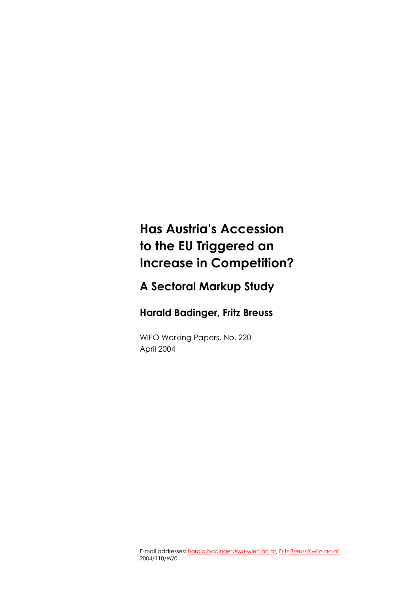## **Has Austria's Accession to the EU Triggered an Increase in Competition?**

## **A Sectoral Markup Study**

## **Harald Badinger, Fritz Breuss**

WIFO Working Papers, No. 220 April 2004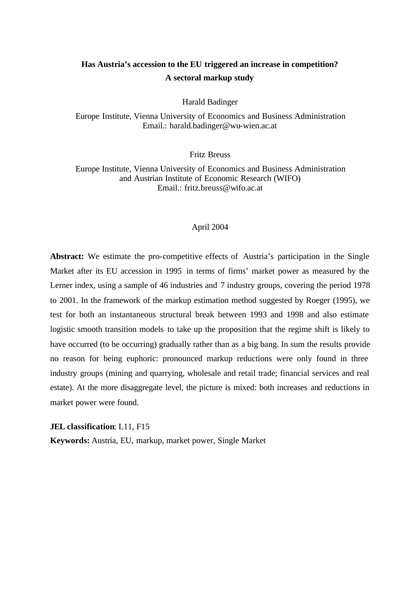### **Has Austria's accession to the EU triggered an increase in competition? A sectoral markup study**

Harald Badinger

Europe Institute, Vienna University of Economics and Business Administration Email.: harald.badinger@wu-wien.ac.at

Fritz Breuss

Europe Institute, Vienna University of Economics and Business Administration and Austrian Institute of Economic Research (WIFO) Email.: fritz.breuss@wifo.ac.at

#### April 2004

Abstract: We estimate the pro-competitive effects of Austria's participation in the Single Market after its EU accession in 1995 in terms of firms' market power as measured by the Lerner index, using a sample of 46 industries and 7 industry groups, covering the period 1978 to 2001. In the framework of the markup estimation method suggested by Roeger (1995), we test for both an instantaneous structural break between 1993 and 1998 and also estimate logistic smooth transition models to take up the proposition that the regime shift is likely to have occurred (to be occurring) gradually rather than as a big bang. In sum the results provide no reason for being euphoric: pronounced markup reductions were only found in three industry groups (mining and quarrying, wholesale and retail trade; financial services and real estate). At the more disaggregate level, the picture is mixed: both increases and reductions in market power were found.

**JEL classification**: L11, F15

**Keywords:** Austria, EU, markup, market power, Single Market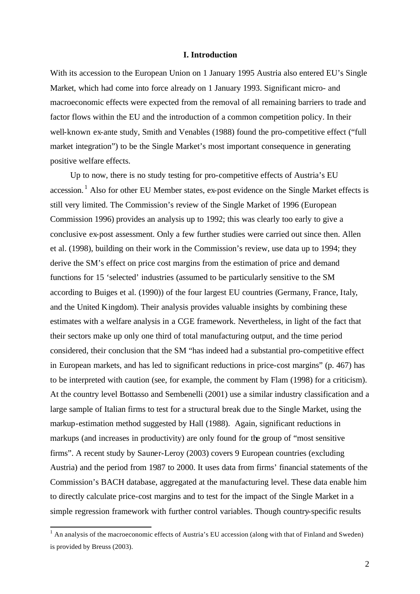#### **I. Introduction**

With its accession to the European Union on 1 January 1995 Austria also entered EU's Single Market, which had come into force already on 1 January 1993. Significant micro- and macroeconomic effects were expected from the removal of all remaining barriers to trade and factor flows within the EU and the introduction of a common competition policy. In their well-known ex-ante study, Smith and Venables (1988) found the pro-competitive effect ("full market integration") to be the Single Market's most important consequence in generating positive welfare effects.

Up to now, there is no study testing for pro-competitive effects of Austria's EU  $accession.<sup>1</sup>$  Also for other EU Member states, ex-post evidence on the Single Market effects is still very limited. The Commission's review of the Single Market of 1996 (European Commission 1996) provides an analysis up to 1992; this was clearly too early to give a conclusive ex-post assessment. Only a few further studies were carried out since then. Allen et al. (1998), building on their work in the Commission's review, use data up to 1994; they derive the SM's effect on price cost margins from the estimation of price and demand functions for 15 'selected' industries (assumed to be particularly sensitive to the SM according to Buiges et al. (1990)) of the four largest EU countries (Germany, France, Italy, and the United Kingdom). Their analysis provides valuable insights by combining these estimates with a welfare analysis in a CGE framework. Nevertheless, in light of the fact that their sectors make up only one third of total manufacturing output, and the time period considered, their conclusion that the SM "has indeed had a substantial pro-competitive effect in European markets, and has led to significant reductions in price-cost margins" (p. 467) has to be interpreted with caution (see, for example, the comment by Flam (1998) for a criticism). At the country level Bottasso and Sembenelli (2001) use a similar industry classification and a large sample of Italian firms to test for a structural break due to the Single Market, using the markup-estimation method suggested by Hall (1988). Again, significant reductions in markups (and increases in productivity) are only found for the group of "most sensitive firms". A recent study by Sauner-Leroy (2003) covers 9 European countries (excluding Austria) and the period from 1987 to 2000. It uses data from firms' financial statements of the Commission's BACH database, aggregated at the manufacturing level. These data enable him to directly calculate price-cost margins and to test for the impact of the Single Market in a simple regression framework with further control variables. Though country-specific results

<sup>&</sup>lt;sup>1</sup> An analysis of the macroeconomic effects of Austria's EU accession (along with that of Finland and Sweden) is provided by Breuss (2003).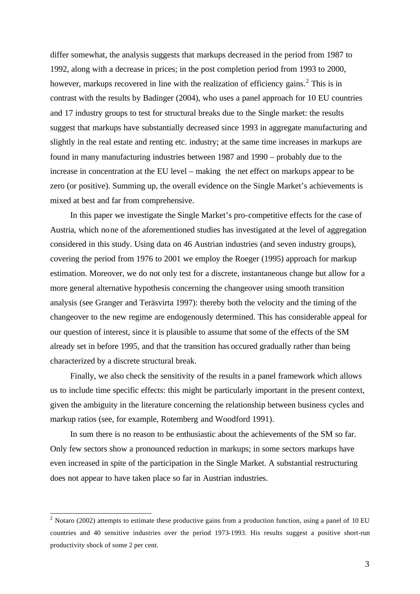differ somewhat, the analysis suggests that markups decreased in the period from 1987 to 1992, along with a decrease in prices; in the post completion period from 1993 to 2000, however, markups recovered in line with the realization of efficiency gains.<sup>2</sup> This is in contrast with the results by Badinger (2004), who uses a panel approach for 10 EU countries and 17 industry groups to test for structural breaks due to the Single market: the results suggest that markups have substantially decreased since 1993 in aggregate manufacturing and slightly in the real estate and renting etc. industry; at the same time increases in markups are found in many manufacturing industries between 1987 and 1990 – probably due to the increase in concentration at the EU level – making the net effect on markups appear to be zero (or positive). Summing up, the overall evidence on the Single Market's achievements is mixed at best and far from comprehensive.

In this paper we investigate the Single Market's pro-competitive effects for the case of Austria, which none of the aforementioned studies has investigated at the level of aggregation considered in this study. Using data on 46 Austrian industries (and seven industry groups), covering the period from 1976 to 2001 we employ the Roeger (1995) approach for markup estimation. Moreover, we do not only test for a discrete, instantaneous change but allow for a more general alternative hypothesis concerning the changeover using smooth transition analysis (see Granger and Teräsvirta 1997): thereby both the velocity and the timing of the changeover to the new regime are endogenously determined. This has considerable appeal for our question of interest, since it is plausible to assume that some of the effects of the SM already set in before 1995, and that the transition has occured gradually rather than being characterized by a discrete structural break.

Finally, we also check the sensitivity of the results in a panel framework which allows us to include time specific effects: this might be particularly important in the present context, given the ambiguity in the literature concerning the relationship between business cycles and markup ratios (see, for example, Rotemberg and Woodford 1991).

In sum there is no reason to be enthusiastic about the achievements of the SM so far. Only few sectors show a pronounced reduction in markups; in some sectors markups have even increased in spite of the participation in the Single Market. A substantial restructuring does not appear to have taken place so far in Austrian industries.

<sup>&</sup>lt;sup>2</sup> Notaro (2002) attempts to estimate these productive gains from a production function, using a panel of 10 EU countries and 40 sensitive industries over the period 1973-1993. His results suggest a positive short-run productivity shock of some 2 per cent.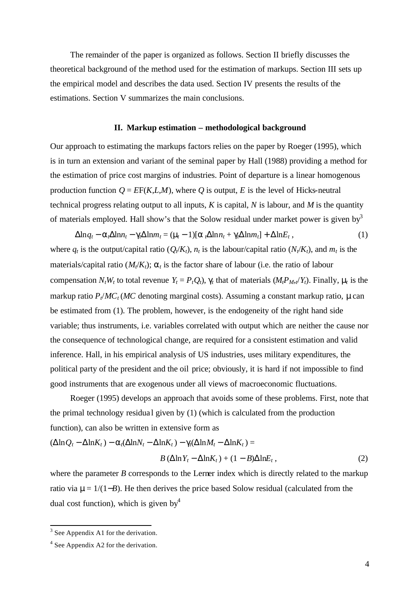The remainder of the paper is organized as follows. Section II briefly discusses the theoretical background of the method used for the estimation of markups. Section III sets up the empirical model and describes the data used. Section IV presents the results of the estimations. Section V summarizes the main conclusions.

#### **II. Markup estimation – methodological background**

Our approach to estimating the markups factors relies on the paper by Roeger (1995), which is in turn an extension and variant of the seminal paper by Hall (1988) providing a method for the estimation of price cost margins of industries. Point of departure is a linear homogenous production function  $Q = EF(K, L, M)$ , where O is output, E is the level of Hicks-neutral technical progress relating output to all inputs,  $K$  is capital,  $N$  is labour, and  $M$  is the quantity of materials employed. Hall show's that the Solow residual under market power is given by  $\delta$ 

 $\Delta \ln q_t - a_t \Delta \ln n_t - g_t \Delta \ln m_t = (m - 1)[a_t \Delta \ln n_t + g_t \Delta \ln m_t] + \Delta \ln E_t$ , (1) where  $q_t$  is the output/capital ratio ( $Q_t/K_t$ ),  $n_t$  is the labour/capital ratio ( $N_t/K_t$ ), and  $m_t$  is the materials/capital ratio  $(M_t/K_t)$ ;  $a_t$  is the factor share of labour (i.e. the ratio of labour compensation  $N_tW_t$  to total revenue  $Y_t = P_tQ_t$ ,  $g_t$  that of materials  $(M_tP_M, Y_t)$ . Finally,  $m_t$  is the markup ratio  $P_f/MC_f/MC$  denoting marginal costs). Assuming a constant markup ratio, mean be estimated from (1). The problem, however, is the endogeneity of the right hand side variable; thus instruments, i.e. variables correlated with output which are neither the cause nor the consequence of technological change, are required for a consistent estimation and valid inference. Hall, in his empirical analysis of US industries, uses military expenditures, the political party of the president and the oil price; obviously, it is hard if not impossible to find good instruments that are exogenous under all views of macroeconomic fluctuations.

Roeger (1995) develops an approach that avoids some of these problems. First, note that the primal technology residua l given by (1) (which is calculated from the production function), can also be written in extensive form as

$$
(\Delta \ln Q_t - \Delta \ln K_t) - \mathbf{a}_t (\Delta \ln N_t - \Delta \ln K_t) - \mathbf{g}_t (\Delta \ln M_t - \Delta \ln K_t) =
$$
  
 
$$
B (\Delta \ln Y_t - \Delta \ln K_t) + (1 - B) \Delta \ln K_t, \qquad (2)
$$

where the parameter *B* corresponds to the Lerner index which is directly related to the markup ratio via **m** = 1/(1−*B*). He then derives the price based Solow residual (calculated from the dual cost function), which is given by  $4^4$ 

<sup>&</sup>lt;sup>3</sup> See Appendix A1 for the derivation.

<sup>&</sup>lt;sup>4</sup> See Appendix A2 for the derivation.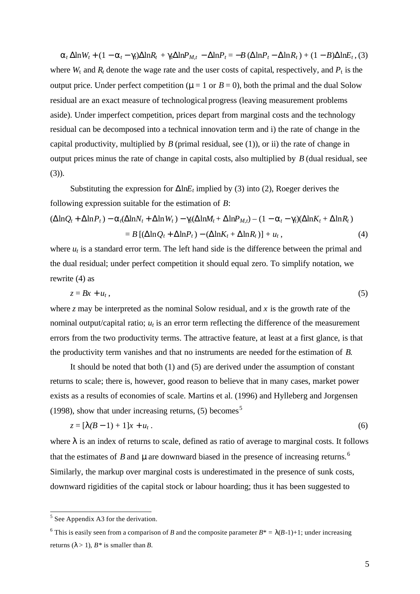$\mathbf{a}_t \Delta \ln W_t + (1 - \mathbf{a}_t - \mathbf{g}_t) \Delta \ln R_t + \mathbf{g}_t \Delta \ln P_{M,t} - \Delta \ln P_t = -B (\Delta \ln P_t - \Delta \ln R_t) + (1 - B) \Delta \ln E_t,$  (3) where  $W_t$  and  $R_t$  denote the wage rate and the user costs of capital, respectively, and  $P_t$  is the output price. Under perfect competition ( $m=1$  or  $B=0$ ), both the primal and the dual Solow residual are an exact measure of technological progress (leaving measurement problems aside). Under imperfect competition, prices depart from marginal costs and the technology residual can be decomposed into a technical innovation term and i) the rate of change in the capital productivity, multiplied by  $B$  (primal residual, see  $(1)$ ), or ii) the rate of change in output prices minus the rate of change in capital costs, also multiplied by *B* (dual residual, see  $(3)$ ).

Substituting the expression for  $\Delta \ln E_t$  implied by (3) into (2), Roeger derives the following expression suitable for the estimation of *B*:

$$
(\Delta \ln Q_t + \Delta \ln P_t) - a_t(\Delta \ln N_t + \Delta \ln W_t) - g_t(\Delta \ln M_t + \Delta \ln P_{M,t}) - (1 - a_t - g_t)(\Delta \ln K_t + \Delta \ln R_t)
$$
  
=  $B [(\Delta \ln Q_t + \Delta \ln P_t) - (\Delta \ln K_t + \Delta \ln R_t)] + u_t,$  (4)

where  $u_t$  is a standard error term. The left hand side is the difference between the primal and the dual residual; under perfect competition it should equal zero. To simplify notation, we rewrite (4) as

$$
z = Bx + u_t, \tag{5}
$$

where *z* may be interpreted as the nominal Solow residual, and *x* is the growth rate of the nominal output/capital ratio;  $u_t$  is an error term reflecting the difference of the measurement errors from the two productivity terms. The attractive feature, at least at a first glance, is that the productivity term vanishes and that no instruments are needed for the estimation of *B*.

It should be noted that both (1) and (5) are derived under the assumption of constant returns to scale; there is, however, good reason to believe that in many cases, market power exists as a results of economies of scale. Martins et al. (1996) and Hylleberg and Jorgensen (1998), show that under increasing returns,  $(5)$  becomes<sup>5</sup>

$$
z = [I(B-1) + 1]x + u_t.
$$
\n(6)

where *I* is an index of returns to scale, defined as ratio of average to marginal costs. It follows that the estimates of *B* and **m** are downward biased in the presence of increasing returns.<sup>6</sup> Similarly, the markup over marginal costs is underestimated in the presence of sunk costs, downward rigidities of the capital stock or labour hoarding; thus it has been suggested to

<sup>&</sup>lt;sup>5</sup> See Appendix A3 for the derivation.

<sup>&</sup>lt;sup>6</sup> This is easily seen from a comparison of *B* and the composite parameter  $B^* = \lambda(B-1)+1$ ; under increasing returns  $(\lambda > 1)$ ,  $B^*$  is smaller than *B*.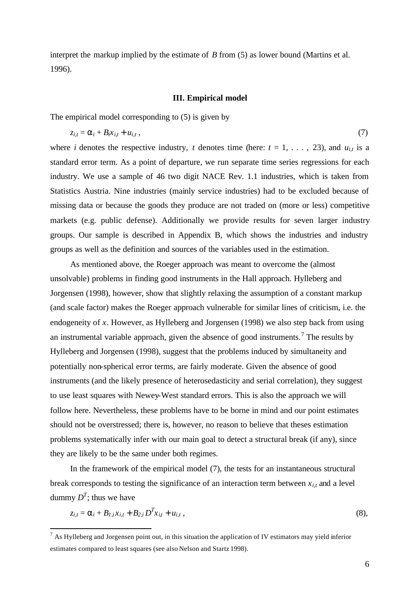interpret the markup implied by the estimate of *B* from (5) as lower bound (Martins et al. 1996).

#### **III. Empirical model**

The empirical model corresponding to (5) is given by

$$
z_{i,t} = \mathbf{a}_i + B_i x_{i,t} + u_{i,t}, \qquad (7)
$$

where *i* denotes the respective industry, *t* denotes time (here:  $t = 1, \ldots, 23$ ), and  $u_{i,t}$  is a standard error term. As a point of departure, we run separate time series regressions for each industry. We use a sample of 46 two digit NACE Rev. 1.1 industries, which is taken from Statistics Austria. Nine industries (mainly service industries) had to be excluded because of missing data or because the goods they produce are not traded on (more or less) competitive markets (e.g. public defense). Additionally we provide results for seven larger industry groups. Our sample is described in Appendix B, which shows the industries and industry groups as well as the definition and sources of the variables used in the estimation.

As mentioned above, the Roeger approach was meant to overcome the (almost unsolvable) problems in finding good instruments in the Hall approach. Hylleberg and Jorgensen (1998), however, show that slightly relaxing the assumption of a constant markup (and scale factor) makes the Roeger approach vulnerable for similar lines of criticism, i.e. the endogeneity of *x*. However, as Hylleberg and Jorgensen (1998) we also step back from using an instrumental variable approach, given the absence of good instruments.<sup>7</sup> The results by Hylleberg and Jorgensen (1998), suggest that the problems induced by simultaneity and potentially non-spherical error terms, are fairly moderate. Given the absence of good instruments (and the likely presence of heterosedasticity and serial correlation), they suggest to use least squares with Newey-West standard errors. This is also the approach we will follow here. Nevertheless, these problems have to be borne in mind and our point estimates should not be overstressed; there is, however, no reason to believe that theses estimation problems systematically infer with our main goal to detect a structural break (if any), since they are likely to be the same under both regimes.

In the framework of the empirical model (7), the tests for an instantaneous structural break corresponds to testing the significance of an interaction term between  $x_{i,t}$  and a level dummy  $D<sup>T</sup>$ ; thus we have

$$
z_{i,t} = a_i + B_{I,i}x_{i,t} + B_{2,i}D^Tx_{i,t} + u_{i,t},
$$
\n(8),

l

 $<sup>7</sup>$  As Hylleberg and Jorgensen point out, in this situation the application of IV estimators may yield inferior</sup> estimates compared to least squares (see also Nelson and Startz 1998).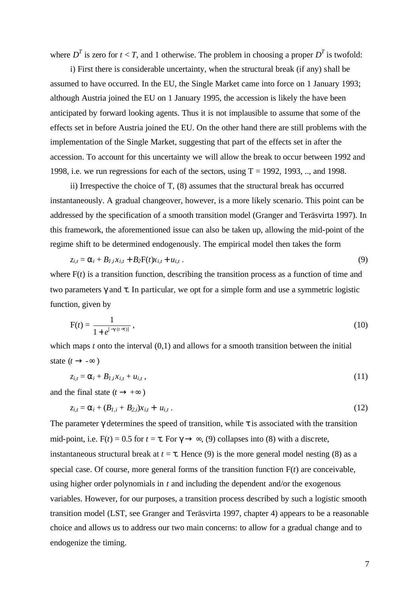where  $D<sup>T</sup>$  is zero for  $t < T$ , and 1 otherwise. The problem in choosing a proper  $D<sup>T</sup>$  is twofold:

i) First there is considerable uncertainty, when the structural break (if any) shall be assumed to have occurred. In the EU, the Single Market came into force on 1 January 1993; although Austria joined the EU on 1 January 1995, the accession is likely the have been anticipated by forward looking agents. Thus it is not implausible to assume that some of the effects set in before Austria joined the EU. On the other hand there are still problems with the implementation of the Single Market, suggesting that part of the effects set in after the accession. To account for this uncertainty we will allow the break to occur between 1992 and 1998, i.e. we run regressions for each of the sectors, using  $T = 1992, 1993, \dots$  and 1998.

ii) Irrespective the choice of T, (8) assumes that the structural break has occurred instantaneously. A gradual changeover, however, is a more likely scenario. This point can be addressed by the specification of a smooth transition model (Granger and Teräsvirta 1997). In this framework, the aforementioned issue can also be taken up, allowing the mid-point of the regime shift to be determined endogenously. The empirical model then takes the form

$$
z_{i,t} = \mathbf{a}_i + B_{1,i}x_{i,t} + B_2F(t)x_{i,t} + u_{i,t} \,.
$$
\n
$$
(9)
$$

where  $F(t)$  is a transition function, describing the transition process as a function of time and two parameters *g* and *t*. In particular, we opt for a simple form and use a symmetric logistic function, given by

$$
F(t) = \frac{1}{1 + e^{[-g(t-t)]}},
$$
\n(10)

which maps *t* onto the interval (0,1) and allows for a smooth transition between the initial state  $(t \rightarrow -\infty)$ 

$$
z_{i,t} = \mathbf{a}_i + B_{1,i}x_{i,t} + u_{i,t}, \qquad (11)
$$

and the final state  $(t \rightarrow +\infty)$ 

$$
z_{i,t} = a_i + (B_{I,i} + B_{2,i})x_{i,t} + u_{i,t}.
$$
\n(12)

The parameter *g* determines the speed of transition, while *t* is associated with the transition mid-point, i.e.  $F(t) = 0.5$  for  $t = t$ . For  $g \rightarrow \infty$ , (9) collapses into (8) with a discrete, instantaneous structural break at  $t = t$ . Hence (9) is the more general model nesting (8) as a special case. Of course, more general forms of the transition function F(*t*) are conceivable, using higher order polynomials in *t* and including the dependent and/or the exogenous variables. However, for our purposes, a transition process described by such a logistic smooth transition model (LST, see Granger and Teräsvirta 1997, chapter 4) appears to be a reasonable choice and allows us to address our two main concerns: to allow for a gradual change and to endogenize the timing.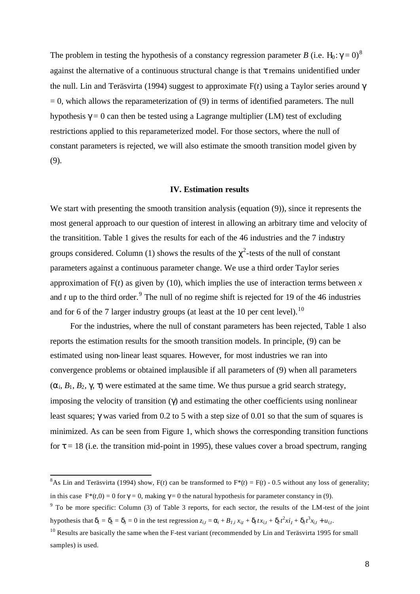The problem in testing the hypothesis of a constancy regression parameter *B* (i.e. H<sub>0</sub>:  $g = 0$ )<sup>8</sup> against the alternative of a continuous structural change is that *t* remains unidentified under the null. Lin and Teräsvirta (1994) suggest to approximate F(*t*) using a Taylor series around *g*  $= 0$ , which allows the reparameterization of  $(9)$  in terms of identified parameters. The null hypothesis  $g = 0$  can then be tested using a Lagrange multiplier (LM) test of excluding restrictions applied to this reparameterized model. For those sectors, where the null of constant parameters is rejected, we will also estimate the smooth transition model given by (9).

#### **IV. Estimation results**

We start with presenting the smooth transition analysis (equation (9)), since it represents the most general approach to our question of interest in allowing an arbitrary time and velocity of the transitition. Table 1 gives the results for each of the 46 industries and the 7 industry groups considered. Column (1) shows the results of the  $c^2$ -tests of the null of constant parameters against a continuous parameter change. We use a third order Taylor series approximation of  $F(t)$  as given by (10), which implies the use of interaction terms between x and  $t$  up to the third order.<sup>9</sup> The null of no regime shift is rejected for 19 of the 46 industries and for 6 of the 7 larger industry groups (at least at the 10 per cent level).<sup>10</sup>

For the industries, where the null of constant parameters has been rejected, Table 1 also reports the estimation results for the smooth transition models. In principle, (9) can be estimated using non-linear least squares. However, for most industries we ran into convergence problems or obtained implausible if all parameters of (9) when all parameters  $(a_i, B_1, B_2, g, t)$  were estimated at the same time. We thus pursue a grid search strategy, imposing the velocity of transition (*g*) and estimating the other coefficients using nonlinear least squares; *g* was varied from 0.2 to 5 with a step size of 0.01 so that the sum of squares is minimized. As can be seen from Figure 1, which shows the corresponding transition functions for  $t = 18$  (i.e. the transition mid-point in 1995), these values cover a broad spectrum, ranging

 $\overline{a}$ 

<sup>&</sup>lt;sup>8</sup>As Lin and Teräsvirta (1994) show, F(*t*) can be transformed to  $F^{*}(t) = F(t) - 0.5$  without any loss of generality; in this case  $F^*(t,0) = 0$  for  $g = 0$ , making  $g = 0$  the natural hypothesis for parameter constancy in (9).

 $9$  To be more specific: Column (3) of Table 3 reports, for each sector, the results of the LM-test of the joint hypothesis that  $\mathbf{d}_1 = \mathbf{d}_2 = \mathbf{d}_3 = 0$  in the test regression  $z_{i,t} = \mathbf{a}_i + \mathbf{B}_{I,i} x_{it} + \mathbf{d}_t t x_{i,t} + \mathbf{d}_t t^2 x_{i,t} + \mathbf{d}_t t^3 x_{i,t} + u_{i,t}$ .

 $10$  Results are basically the same when the F-test variant (recommended by Lin and Teräsvirta 1995 for small samples) is used.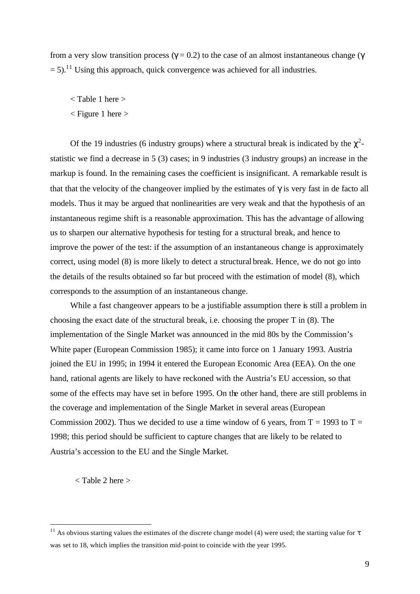from a very slow transition process  $(g = 0.2)$  to the case of an almost instantaneous change ( $g$  $= 5$ ).<sup>11</sup> Using this approach, quick convergence was achieved for all industries.

- < Table 1 here >
- < Figure 1 here >

Of the 19 industries (6 industry groups) where a structural break is indicated by the  $\chi^2$ statistic we find a decrease in 5 (3) cases; in 9 industries (3 industry groups) an increase in the markup is found. In the remaining cases the coefficient is insignificant. A remarkable result is that that the velocity of the changeover implied by the estimates of *g* is very fast in de facto all models. Thus it may be argued that nonlinearities are very weak and that the hypothesis of an instantaneous regime shift is a reasonable approximation. This has the advantage of allowing us to sharpen our alternative hypothesis for testing for a structural break, and hence to improve the power of the test: if the assumption of an instantaneous change is approximately correct, using model (8) is more likely to detect a structural break. Hence, we do not go into the details of the results obtained so far but proceed with the estimation of model (8), which corresponds to the assumption of an instantaneous change.

While a fast changeover appears to be a justifiable assumption there is still a problem in choosing the exact date of the structural break, i.e. choosing the proper T in (8). The implementation of the Single Market was announced in the mid 80s by the Commission's White paper (European Commission 1985); it came into force on 1 January 1993. Austria joined the EU in 1995; in 1994 it entered the European Economic Area (EEA). On the one hand, rational agents are likely to have reckoned with the Austria's EU accession, so that some of the effects may have set in before 1995. On the other hand, there are still problems in the coverage and implementation of the Single Market in several areas (European Commission 2002). Thus we decided to use a time window of 6 years, from  $T = 1993$  to  $T =$ 1998; this period should be sufficient to capture changes that are likely to be related to Austria's accession to the EU and the Single Market.

< Table 2 here >

l

<sup>&</sup>lt;sup>11</sup> As obvious starting values the estimates of the discrete change model (4) were used; the starting value for  $t$ was set to 18, which implies the transition mid-point to coincide with the year 1995.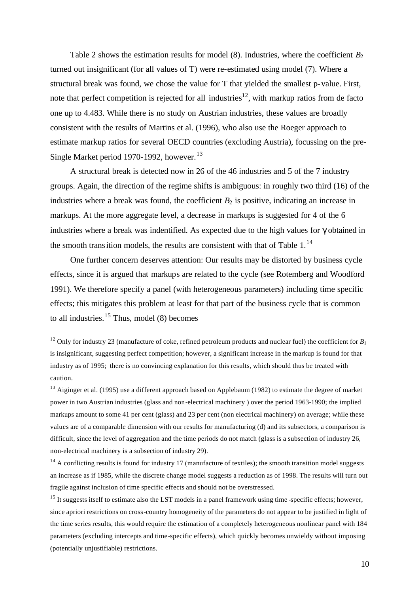Table 2 shows the estimation results for model  $(8)$ . Industries, where the coefficient  $B_2$ turned out insignificant (for all values of T) were re-estimated using model (7). Where a structural break was found, we chose the value for T that yielded the smallest p-value. First, note that perfect competition is rejected for all industries<sup>12</sup>, with markup ratios from de facto one up to 4.483. While there is no study on Austrian industries, these values are broadly consistent with the results of Martins et al. (1996), who also use the Roeger approach to estimate markup ratios for several OECD countries (excluding Austria), focussing on the pre-Single Market period 1970-1992, however.<sup>13</sup>

A structural break is detected now in 26 of the 46 industries and 5 of the 7 industry groups. Again, the direction of the regime shifts is ambiguous: in roughly two third (16) of the industries where a break was found, the coefficient  $B_2$  is positive, indicating an increase in markups. At the more aggregate level, a decrease in markups is suggested for 4 of the 6 industries where a break was indentified. As expected due to the high values for *g* obtained in the smooth transition models, the results are consistent with that of Table  $1<sup>14</sup>$ 

One further concern deserves attention: Our results may be distorted by business cycle effects, since it is argued that markups are related to the cycle (see Rotemberg and Woodford 1991). We therefore specify a panel (with heterogeneous parameters) including time specific effects; this mitigates this problem at least for that part of the business cycle that is common to all industries.<sup>15</sup> Thus, model  $(8)$  becomes

j

 $12$  Only for industry 23 (manufacture of coke, refined petroleum products and nuclear fuel) the coefficient for  $B_1$ is insignificant, suggesting perfect competition; however, a significant increase in the markup is found for that industry as of 1995; there is no convincing explanation for this results, which should thus be treated with caution.

<sup>&</sup>lt;sup>13</sup> Aiginger et al. (1995) use a different approach based on Applebaum (1982) to estimate the degree of market power in two Austrian industries (glass and non-electrical machinery ) over the period 1963-1990; the implied markups amount to some 41 per cent (glass) and 23 per cent (non electrical machinery) on average; while these values are of a comparable dimension with our results for manufacturing (d) and its subsectors, a comparison is difficult, since the level of aggregation and the time periods do not match (glass is a subsection of industry 26, non-electrical machinery is a subsection of industry 29).

 $14$  A conflicting results is found for industry 17 (manufacture of textiles); the smooth transition model suggests an increase as if 1985, while the discrete change model suggests a reduction as of 1998. The results will turn out fragile against inclusion of time specific effects and should not be overstressed.

<sup>&</sup>lt;sup>15</sup> It suggests itself to estimate also the LST models in a panel framework using time-specific effects; however, since apriori restrictions on cross-country homogeneity of the parameters do not appear to be justified in light of the time series results, this would require the estimation of a completely heterogeneous nonlinear panel with 184 parameters (excluding intercepts and time-specific effects), which quickly becomes unwieldy without imposing (potentially unjustifiable) restrictions.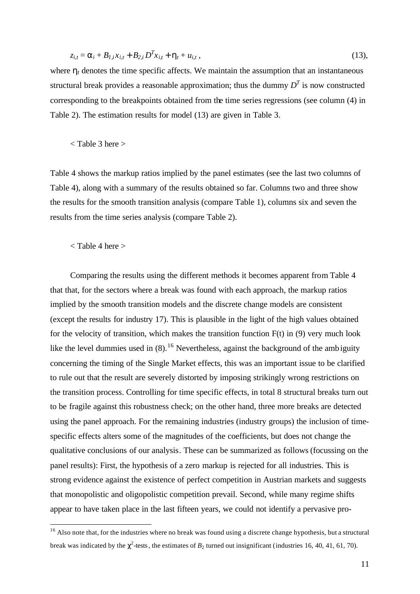$$
z_{i,t} = \mathbf{a}_i + B_{1,i}x_{i,t} + B_{2,i}D^Tx_{i,t} + \mathbf{h}_t + u_{i,t},
$$
\n(13),

where  $h_t$  denotes the time specific affects. We maintain the assumption that an instantaneous structural break provides a reasonable approximation; thus the dummy  $D<sup>T</sup>$  is now constructed corresponding to the breakpoints obtained from the time series regressions (see column (4) in Table 2). The estimation results for model (13) are given in Table 3.

< Table 3 here >

Table 4 shows the markup ratios implied by the panel estimates (see the last two columns of Table 4), along with a summary of the results obtained so far. Columns two and three show the results for the smooth transition analysis (compare Table 1), columns six and seven the results from the time series analysis (compare Table 2).

#### < Table 4 here >

l

Comparing the results using the different methods it becomes apparent from Table 4 that that, for the sectors where a break was found with each approach, the markup ratios implied by the smooth transition models and the discrete change models are consistent (except the results for industry 17). This is plausible in the light of the high values obtained for the velocity of transition, which makes the transition function  $F(t)$  in (9) very much look like the level dummies used in  $(8)$ .<sup>16</sup> Nevertheless, against the background of the ambiguity concerning the timing of the Single Market effects, this was an important issue to be clarified to rule out that the result are severely distorted by imposing strikingly wrong restrictions on the transition process. Controlling for time specific effects, in total 8 structural breaks turn out to be fragile against this robustness check; on the other hand, three more breaks are detected using the panel approach. For the remaining industries (industry groups) the inclusion of timespecific effects alters some of the magnitudes of the coefficients, but does not change the qualitative conclusions of our analysis. These can be summarized as follows (focussing on the panel results): First, the hypothesis of a zero markup is rejected for all industries. This is strong evidence against the existence of perfect competition in Austrian markets and suggests that monopolistic and oligopolistic competition prevail. Second, while many regime shifts appear to have taken place in the last fifteen years, we could not identify a pervasive pro-

<sup>&</sup>lt;sup>16</sup> Also note that, for the industries where no break was found using a discrete change hypothesis, but a structural break was indicated by the  $c^2$ -tests, the estimates of  $B_2$  turned out insignificant (industries 16, 40, 41, 61, 70).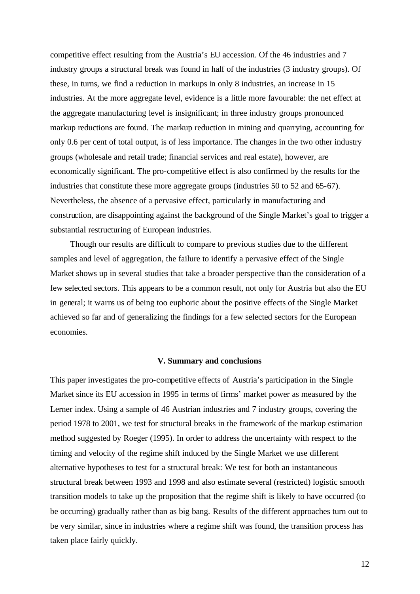competitive effect resulting from the Austria's EU accession. Of the 46 industries and 7 industry groups a structural break was found in half of the industries (3 industry groups). Of these, in turns, we find a reduction in markups in only 8 industries, an increase in 15 industries. At the more aggregate level, evidence is a little more favourable: the net effect at the aggregate manufacturing level is insignificant; in three industry groups pronounced markup reductions are found. The markup reduction in mining and quarrying, accounting for only 0.6 per cent of total output, is of less importance. The changes in the two other industry groups (wholesale and retail trade; financial services and real estate), however, are economically significant. The pro-competitive effect is also confirmed by the results for the industries that constitute these more aggregate groups (industries 50 to 52 and 65-67). Nevertheless, the absence of a pervasive effect, particularly in manufacturing and construction, are disappointing against the background of the Single Market's goal to trigger a substantial restructuring of European industries.

Though our results are difficult to compare to previous studies due to the different samples and level of aggregation, the failure to identify a pervasive effect of the Single Market shows up in several studies that take a broader perspective than the consideration of a few selected sectors. This appears to be a common result, not only for Austria but also the EU in general; it warns us of being too euphoric about the positive effects of the Single Market achieved so far and of generalizing the findings for a few selected sectors for the European economies.

#### **V. Summary and conclusions**

This paper investigates the pro-competitive effects of Austria's participation in the Single Market since its EU accession in 1995 in terms of firms' market power as measured by the Lerner index. Using a sample of 46 Austrian industries and 7 industry groups, covering the period 1978 to 2001, we test for structural breaks in the framework of the markup estimation method suggested by Roeger (1995). In order to address the uncertainty with respect to the timing and velocity of the regime shift induced by the Single Market we use different alternative hypotheses to test for a structural break: We test for both an instantaneous structural break between 1993 and 1998 and also estimate several (restricted) logistic smooth transition models to take up the proposition that the regime shift is likely to have occurred (to be occurring) gradually rather than as big bang. Results of the different approaches turn out to be very similar, since in industries where a regime shift was found, the transition process has taken place fairly quickly.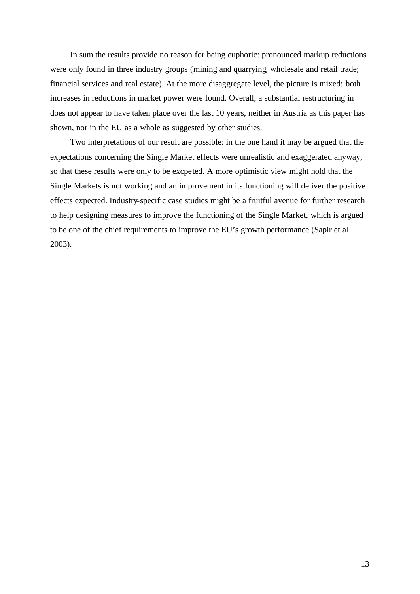In sum the results provide no reason for being euphoric: pronounced markup reductions were only found in three industry groups (mining and quarrying, wholesale and retail trade; financial services and real estate). At the more disaggregate level, the picture is mixed: both increases in reductions in market power were found. Overall, a substantial restructuring in does not appear to have taken place over the last 10 years, neither in Austria as this paper has shown, nor in the EU as a whole as suggested by other studies.

Two interpretations of our result are possible: in the one hand it may be argued that the expectations concerning the Single Market effects were unrealistic and exaggerated anyway, so that these results were only to be excpeted. A more optimistic view might hold that the Single Markets is not working and an improvement in its functioning will deliver the positive effects expected. Industry-specific case studies might be a fruitful avenue for further research to help designing measures to improve the functioning of the Single Market, which is argued to be one of the chief requirements to improve the EU's growth performance (Sapir et al. 2003).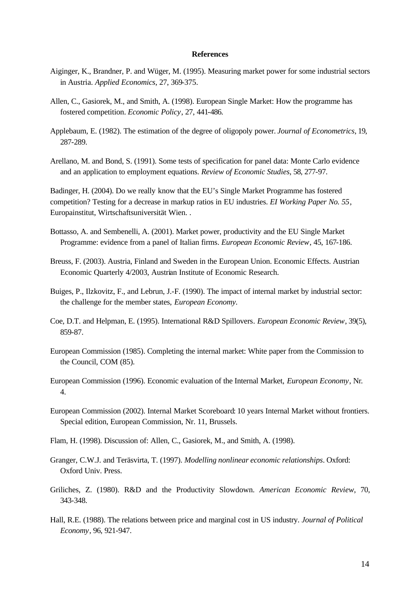#### **References**

- Aiginger, K., Brandner, P. and Wüger, M. (1995). Measuring market power for some industrial sectors in Austria. *Applied Economics*, 27, 369-375.
- Allen, C., Gasiorek, M., and Smith, A. (1998). European Single Market: How the programme has fostered competition. *Economic Policy*, 27, 441-486.
- Applebaum, E. (1982). The estimation of the degree of oligopoly power. *Journal of Econometrics*, 19, 287-289.
- Arellano, M. and Bond, S. (1991). Some tests of specification for panel data: Monte Carlo evidence and an application to employment equations. *Review of Economic Studies*, 58, 277-97.

Badinger, H. (2004). Do we really know that the EU's Single Market Programme has fostered competition? Testing for a decrease in markup ratios in EU industries. *EI Working Paper No. 55*, Europainstitut, Wirtschaftsuniversität Wien. .

- Bottasso, A. and Sembenelli, A. (2001). Market power, productivity and the EU Single Market Programme: evidence from a panel of Italian firms. *European Economic Review*, 45, 167-186.
- Breuss, F. (2003). Austria, Finland and Sweden in the European Union. Economic Effects. Austrian Economic Quarterly 4/2003, Austrian Institute of Economic Research.

Buiges, P., Ilzkovitz, F., and Lebrun, J.-F. (1990). The impact of internal market by industrial sector: the challenge for the member states, *European Economy*.

- Coe, D.T. and Helpman, E. (1995). International R&D Spillovers. *European Economic Review*, 39(5), 859-87.
- European Commission (1985). Completing the internal market: White paper from the Commission to the Council, COM (85).
- European Commission (1996). Economic evaluation of the Internal Market, *European Economy*, Nr. 4.
- European Commission (2002). Internal Market Scoreboard: 10 years Internal Market without frontiers. Special edition, European Commission, Nr. 11, Brussels.
- Flam, H. (1998). Discussion of: Allen, C., Gasiorek, M., and Smith, A. (1998).
- Granger, C.W.J. and Teräsvirta, T. (1997). *Modelling nonlinear economic relationships*. Oxford: Oxford Univ. Press.
- Griliches, Z. (1980). R&D and the Productivity Slowdown. *American Economic Review*, 70, 343-348.
- Hall, R.E. (1988). The relations between price and marginal cost in US industry. *Journal of Political Economy*, 96, 921-947.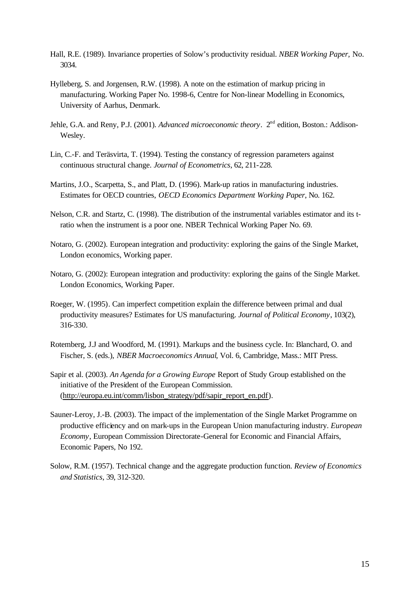- Hall, R.E. (1989). Invariance properties of Solow's productivity residual. *NBER Working Paper,* No. 3034.
- Hylleberg, S. and Jorgensen, R.W. (1998). A note on the estimation of markup pricing in manufacturing. Working Paper No. 1998-6, Centre for Non-linear Modelling in Economics, University of Aarhus, Denmark.
- Jehle, G.A. and Reny, P.J. (2001). *Advanced microeconomic theory*. 2<sup>nd</sup> edition, Boston.: Addison-Wesley.
- Lin, C.-F. and Teräsvirta, T. (1994). Testing the constancy of regression parameters against continuous structural change. *Journal of Econometrics*, 62, 211-228.
- Martins, J.O., Scarpetta, S., and Platt, D. (1996). Mark-up ratios in manufacturing industries. Estimates for OECD countries, *OECD Economics Department Working Paper*, No. 162.
- Nelson, C.R. and Startz, C. (1998). The distribution of the instrumental variables estimator and its tratio when the instrument is a poor one. NBER Technical Working Paper No. 69.
- Notaro, G. (2002). European integration and productivity: exploring the gains of the Single Market, London economics, Working paper.
- Notaro, G. (2002): European integration and productivity: exploring the gains of the Single Market. London Economics, Working Paper.
- Roeger, W. (1995). Can imperfect competition explain the difference between primal and dual productivity measures? Estimates for US manufacturing. *Journal of Political Economy*, 103(2), 316-330.
- Rotemberg, J.J and Woodford, M. (1991). Markups and the business cycle. In: Blanchard, O. and Fischer, S. (eds.), *NBER Macroeconomics Annual*, Vol. 6, Cambridge, Mass.: MIT Press.
- Sapir et al. (2003). *An Agenda for a Growing Europe* Report of Study Group established on the initiative of the President of the European Commission. (http://europa.eu.int/comm/lisbon\_strategy/pdf/sapir\_report\_en.pdf).
- Sauner-Leroy, J.-B. (2003). The impact of the implementation of the Single Market Programme on productive efficiency and on mark-ups in the European Union manufacturing industry. *European Economy*, European Commission Directorate-General for Economic and Financial Affairs, Economic Papers, No 192.
- Solow, R.M. (1957). Technical change and the aggregate production function. *Review of Economics and Statistics*, 39, 312-320.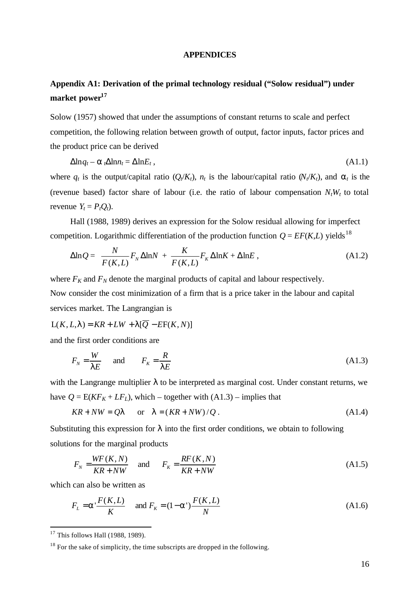#### **APPENDICES**

### **Appendix A1: Derivation of the primal technology residual ("Solow residual") under market power<sup>17</sup>**

Solow (1957) showed that under the assumptions of constant returns to scale and perfect competition, the following relation between growth of output, factor inputs, factor prices and the product price can be derived

$$
\Delta \ln q_t - \mathbf{a}_t \Delta \ln n_t = \Delta \ln E_t, \qquad (A1.1)
$$

where  $q_t$  is the output/capital ratio  $(Q_t/K_t)$ ,  $n_t$  is the labour/capital ratio  $(N_t/K_t)$ , and  $a_t$  is the (revenue based) factor share of labour (i.e. the ratio of labour compensation  $N_tW_t$  to total revenue  $Y_t = P_t Q_t$ ).

Hall (1988, 1989) derives an expression for the Solow residual allowing for imperfect competition. Logarithmic differentiation of the production function  $Q = EF(K,L)$  yields<sup>18</sup>

$$
\Delta \ln Q = \frac{N}{F(K, L)} F_N \Delta \ln N + \frac{K}{F(K, L)} F_K \Delta \ln K + \Delta \ln E, \qquad (A1.2)
$$

where  $F_K$  and  $F_N$  denote the marginal products of capital and labour respectively. Now consider the cost minimization of a firm that is a price taker in the labour and capital services market. The Langrangian is

$$
L(K, L, I) = KR + LW + I[\overline{Q} - EF(K, N)]
$$

and the first order conditions are

$$
F_N = \frac{W}{IE} \qquad \text{and} \qquad F_K = \frac{R}{IE} \tag{A1.3}
$$

with the Langrange multiplier *l* to be interpreted as marginal cost. Under constant returns, we have  $Q = E(KF_K + LF_L)$ , which – together with  $(A1.3)$  – implies that

$$
KR + NW = QI \qquad \text{or} \quad I = (KR + NW)/Q \,. \tag{A1.4}
$$

Substituting this expression for *l* into the first order conditions, we obtain to following solutions for the marginal products

$$
F_N = \frac{WF(K, N)}{KR + NW} \quad \text{and} \quad F_K = \frac{RF(K, N)}{KR + NW} \tag{A1.5}
$$

which can also be written as

$$
F_L = \mathbf{a}^T \frac{F(K, L)}{K}
$$
 and  $F_K = (1 - \mathbf{a}^T) \frac{F(K, L)}{N}$  (A1.6)

l

 $17$  This follows Hall (1988, 1989).

 $18$  For the sake of simplicity, the time subscripts are dropped in the following.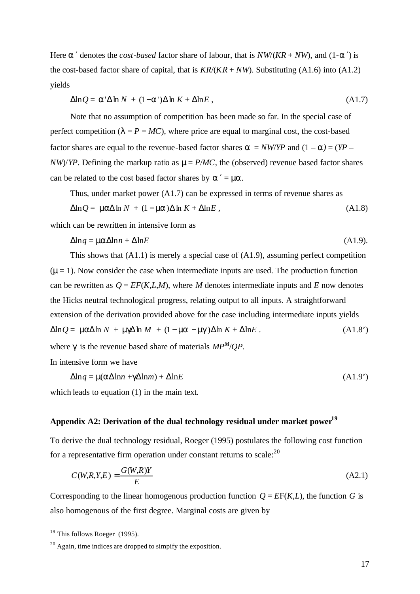Here  $a'$  denotes the *cost-based* factor share of labour, that is  $NW/(KR + NW)$ , and  $(1-a')$  is the cost-based factor share of capital, that is  $KR/(KR + NW)$ . Substituting (A1.6) into (A1.2) yields

$$
\Delta \ln Q = \mathbf{a}' \Delta \ln N + (1 - \mathbf{a}') \Delta \ln K + \Delta \ln E, \qquad (A1.7)
$$

Note that no assumption of competition has been made so far. In the special case of perfect competition ( $\lambda = P = MC$ ), where price are equal to marginal cost, the cost-based factor shares are equal to the revenue-based factor shares  $\mathbf{a} = NW/YP$  and  $(1 - \mathbf{a}) = (YP \frac{N}{Y}$ *NW*)/*YP*. Defining the markup ratio as  $m = P/MC$ , the (observed) revenue based factor shares can be related to the cost based factor shares by *a* ′ = *ma*.

Thus, under market power (A1.7) can be expressed in terms of revenue shares as

$$
\Delta \ln Q = \mathbf{m} \Delta \ln N + (1 - \mathbf{m} \Delta) \Delta \ln K + \Delta \ln E, \qquad (A1.8)
$$

which can be rewritten in intensive form as

$$
\Delta \ln q = \mathbf{m} \Delta \ln n + \Delta \ln E \tag{A1.9}
$$

This shows that (A1.1) is merely a special case of (A1.9), assuming perfect competition  $(m=1)$ . Now consider the case when intermediate inputs are used. The production function can be rewritten as  $Q = EF(K, L, M)$ , where *M* denotes intermediate inputs and *E* now denotes the Hicks neutral technological progress, relating output to all inputs. A straightforward extension of the derivation provided above for the case including intermediate inputs yields  $\Delta \ln Q = m\mathbf{a} \Delta \ln N + m\mathbf{g} \Delta \ln M + (1 - m\mathbf{a} - m\mathbf{g}) \Delta \ln K + \Delta \ln E$  . (A1.8') where *g* is the revenue based share of materials *MP<sup>M</sup>* /*QP.*

In intensive form we have

$$
\Delta \ln q = \mathbf{m}(\mathbf{a}\Delta \ln n + \mathbf{g}\Delta \ln m) + \Delta \ln E \tag{A1.9'}
$$

which leads to equation (1) in the main text.

#### **Appendix A2: Derivation of the dual technology residual under market power<sup>19</sup>**

To derive the dual technology residual, Roeger (1995) postulates the following cost function for a representative firm operation under constant returns to scale:  $2^{0}$ 

$$
C(W,R,Y,E) = \frac{G(W,R)Y}{E}
$$
\n(A2.1)

Corresponding to the linear homogenous production function  $Q = EF(K,L)$ , the function *G* is also homogenous of the first degree. Marginal costs are given by

l

 $19$  This follows Roeger (1995).

 $20$  Again, time indices are dropped to simpify the exposition.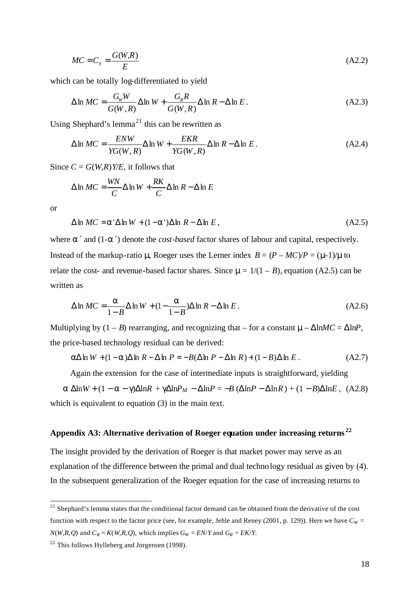$$
MC = C_Y = \frac{G(W, R)}{E}
$$
 (A2.2)

which can be totally log-differentiated to yield

$$
\Delta \ln MC = \frac{G_w W}{G(W, R)} \Delta \ln W + \frac{G_R R}{G(W, R)} \Delta \ln R - \Delta \ln E.
$$
 (A2.3)

Using Shephard's lemma<sup>21</sup> this can be rewritten as

$$
\Delta \ln MC = \frac{ENW}{YG(W, R)} \Delta \ln W + \frac{EKR}{YG(W, R)} \Delta \ln R - \Delta \ln E.
$$
 (A2.4)

Since  $C = G(W,R)Y/E$ , it follows that

$$
\Delta \ln MC = \frac{WN}{C} \Delta \ln W + \frac{RK}{C} \Delta \ln R - \Delta \ln E
$$

or

j

$$
\Delta \ln MC = \mathbf{a}' \Delta \ln W + (1 - \mathbf{a}') \Delta \ln R - \Delta \ln E, \tag{A2.5}
$$

where *a* ′ and (1-*a* ′) denote the *cost-based* factor shares of labour and capital, respectively. Instead of the markup-ratio **m**, Roeger uses the Lerner index  $B = (P - MC)/P = (m\text{1})/m$  to relate the cost- and revenue-based factor shares. Since  $m = 1/(1 - B)$ , equation (A2.5) can be written as

$$
\Delta \ln MC = \frac{a}{1 - B} \Delta \ln W + (1 - \frac{a}{1 - B}) \Delta \ln R - \Delta \ln E.
$$
 (A2.6)

Multiplying by  $(1 - B)$  rearranging, and recognizing that – for a constant  $m - \Delta \ln MC = \Delta \ln P$ , the price-based technology residual can be derived:

$$
\mathbf{a}\Delta\ln W + (1-\mathbf{a})\Delta\ln R - \Delta\ln P = -B(\Delta\ln P - \Delta\ln R) + (1-B)\Delta\ln E. \tag{A2.7}
$$

Again the extension for the case of intermediate inputs is straightforward, yielding

 $a \Delta \ln W + (1 - a - g) \Delta \ln R + g \Delta \ln P_M - \Delta \ln P = -B (\Delta \ln P - \Delta \ln R) + (1 - B) \Delta \ln E$ , (A2.8) which is equivalent to equation (3) in the main text.

#### **Appendix A3: Alternative derivation of Roeger equation under increasing returns <sup>22</sup>**

The insight provided by the derivation of Roeger is that market power may serve as an explanation of the difference between the primal and dual technology residual as given by (4). In the subsequent generalization of the Roeger equation for the case of increasing returns to

 $2<sup>1</sup>$  Shephard's lemma states that the conditional factor demand can be obtained from the derivative of the cost function with respect to the factor price (see, for example, Jehle and Reney (2001, p. 129)). Here we have  $C_W =$  $N(W,R,Q)$  and  $C_R = K(W,R,Q)$ , which implies  $G_W = EN/Y$  and  $G_R = EK/Y$ .

 $22$  This follows Hylleberg and Jorgensen (1998).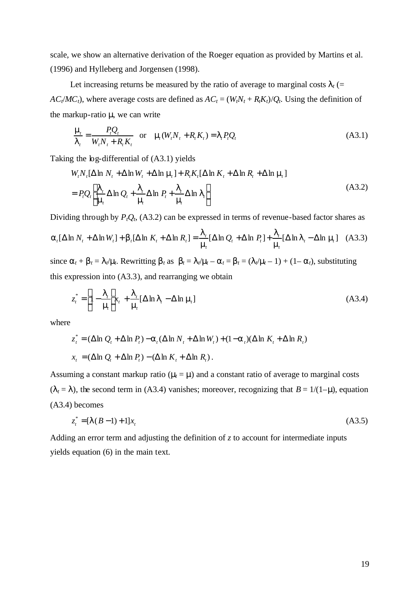scale, we show an alternative derivation of the Roeger equation as provided by Martins et al. (1996) and Hylleberg and Jorgensen (1998).

Let increasing returns be measured by the ratio of average to marginal costs  $I_t$  (=  $AC<sub>t</sub>/MC<sub>t</sub>$ , where average costs are defined as  $AC<sub>t</sub> = (W<sub>t</sub>N<sub>t</sub> + R<sub>t</sub>K<sub>t</sub>)/Q<sub>t</sub>$ . Using the definition of the markup-ratio *m*, we can write

$$
\frac{\mathbf{m}_t}{\mathbf{l}_t} = \frac{P_t Q_t}{W_t N_t + R_t K_t} \quad \text{or} \quad \mathbf{m}(W_t N_t + R_t K_t) = \mathbf{l}_t P_t Q_t \tag{A3.1}
$$

Taking the log-differential of (A3.1) yields

$$
W_t N_t [\Delta \ln N_t + \Delta \ln W_t + \Delta \ln \mathbf{m}] + R_t K_t [\Delta \ln K_t + \Delta \ln \mathbf{m}]
$$
  
= 
$$
P_t Q_t \left[ \frac{\mathbf{I}_t}{\mathbf{m}} \Delta \ln Q_t + \frac{\mathbf{I}_t}{\mathbf{m}} \Delta \ln P_t + \frac{\mathbf{I}_t}{\mathbf{m}} \Delta \ln \mathbf{I}_t \right]
$$
 (A3.2)

Dividing through by  $P_tQ_t$ , (A3.2) can be expressed in terms of revenue-based factor shares as

$$
\mathbf{a}_t[\Delta \ln N_t + \Delta \ln W_t] + \mathbf{b}_t[\Delta \ln K_t + \Delta \ln R_t] = \frac{\mathbf{l}_t}{\mathbf{m}_t}[\Delta \ln Q_t + \Delta \ln P_t] + \frac{\mathbf{l}_t}{\mathbf{m}_t}[\Delta \ln \mathbf{l}_t - \Delta \ln \mathbf{m}_t] \quad (A3.3)
$$
  
since  $\mathbf{a}_t + \mathbf{b}_t = \mathbf{l}_t / \mathbf{m}$ . Rewriting  $\mathbf{b}_t$  as  $\mathbf{b}_t = \mathbf{l}_t / \mathbf{m} - \mathbf{a}_t = \mathbf{b}_t = (\mathbf{l}_t / \mathbf{m} - 1) + (1 - \mathbf{a}_t)$ , substituting

this expression into (A3.3), and rearranging we obtain

$$
z_t^* = \left[1 - \frac{I_t}{m}\right] x_t + \frac{I_t}{m} [\Delta \ln I_t - \Delta \ln m_t]
$$
 (A3.4)

where

$$
z_t^* = (\Delta \ln Q_t + \Delta \ln P_t) - a_t (\Delta \ln N_t + \Delta \ln W_t) + (1 - a_t)(\Delta \ln K_t + \Delta \ln R_t)
$$
  

$$
x_t = (\Delta \ln Q_t + \Delta \ln P_t) - (\Delta \ln K_t + \Delta \ln R_t).
$$

Assuming a constant markup ratio ( $m = m$ ) and a constant ratio of average to marginal costs  $(l<sub>t</sub> = I)$ , the second term in (A3.4) vanishes; moreover, recognizing that  $B = 1/(1-m)$ , equation (A3.4) becomes

$$
z_t^* = [I(B-1) + 1]x_t
$$
\n(A3.5)

Adding an error term and adjusting the definition of *z* to account for intermediate inputs yields equation (6) in the main text.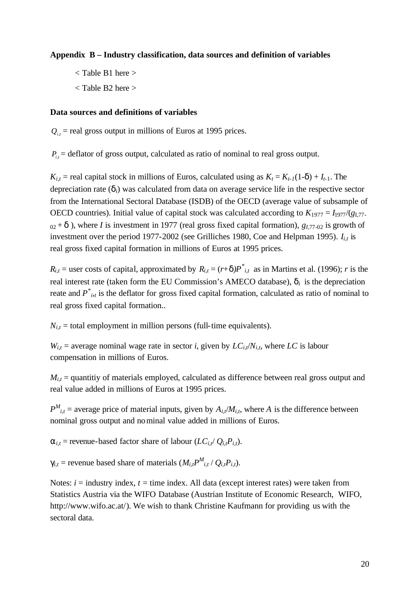#### **Appendix B – Industry classification, data sources and definition of variables**

- < Table B1 here >
- < Table B2 here >

#### **Data sources and definitions of variables**

 $Q_{i,t}$  = real gross output in millions of Euros at 1995 prices.

 $P_{i,t}$  = deflator of gross output, calculated as ratio of nominal to real gross output.

 $K_{i,t}$  = real capital stock in millions of Euros, calculated using as  $K_t = K_{t-1}(1-d) + I_{t-1}$ . The depreciation rate (*di*) was calculated from data on average service life in the respective sector from the International Sectoral Database (ISDB) of the OECD (average value of subsample of OECD countries). Initial value of capital stock was calculated according to  $K_{1977} = I_{1977}/(g_{1.77}$  $_{02}$  + *d*), where *I* is investment in 1977 (real gross fixed capital formation),  $g_{1,77-02}$  is growth of investment over the period 1977-2002 (see Grilliches 1980, Coe and Helpman 1995).  $I_{i,t}$  is real gross fixed capital formation in millions of Euros at 1995 prices.

 $R_{i,t}$  = user costs of capital, approximated by  $R_{i,t} = (r+d)P^*_{i,t}$  as in Martins et al. (1996); *r* is the real interest rate (taken form the EU Commission's AMECO database),  $\mathbf{d}_i$  is the depreciation reate and  $P^*_{i}$ <sup>*t*</sup>, is the deflator for gross fixed capital formation, calculated as ratio of nominal to real gross fixed capital formation..

 $N_{i,t}$  = total employment in million persons (full-time equivalents).

 $W_{i,t}$  = average nominal wage rate in sector *i*, given by  $LC_{i,t}/N_{i,t}$ , where  $LC$  is labour compensation in millions of Euros.

 $M_{i,t}$  = quantitiy of materials employed, calculated as difference between real gross output and real value added in millions of Euros at 1995 prices.

 $P^{M}$ <sub>*i,t*</sub> = average price of material inputs, given by  $A_{i,t}/M_{i,t}$ , where *A* is the difference between nominal gross output and nominal value added in millions of Euros.

 $a_{i,t}$  = revenue-based factor share of labour ( $LC_{i,t}/Q_{i,t}P_{i,t}$ ).

 $g_{i,t}$  = revenue based share of materials  $(M_{i,t}P^{M}_{i,t} / Q_{i,t}P_{i,t})$ .

Notes:  $i =$  industry index,  $t =$  time index. All data (except interest rates) were taken from Statistics Austria via the WIFO Database (Austrian Institute of Economic Research, WIFO, http://www.wifo.ac.at/). We wish to thank Christine Kaufmann for providing us with the sectoral data.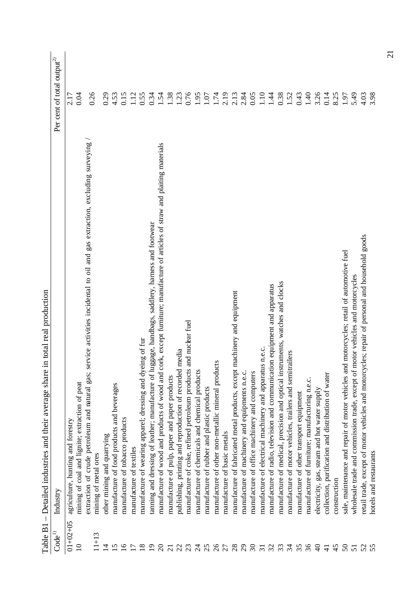| <b>TG</b> PIOP 1     | Detailled munistries and inter average share in total real production                                                        |                                        |
|----------------------|------------------------------------------------------------------------------------------------------------------------------|----------------------------------------|
| $\mathbf{Code}^{1)}$ | Industry                                                                                                                     | Per cent of total output <sup>2)</sup> |
| $01 + 02 + 05$       | agriculture, hunting and forestry                                                                                            | 2.17                                   |
| $\Omega$             | mining of coal and lignite; extraction of peat                                                                               | 0.04                                   |
|                      | extraction of crude petroleum and mural gas; service activities incidental to oil and gas extraction, excluding surveying    | 0.26                                   |
| $11+13$              | mining of metal ores                                                                                                         |                                        |
| $\overline{4}$       | other mining and quarrying                                                                                                   | 0.29                                   |
| $\frac{5}{1}$        | manufacture of food products and beverages                                                                                   | 4.53                                   |
| $\overline{16}$      | manufacture of tobacco products                                                                                              | 0.15                                   |
|                      | manufacture of textiles                                                                                                      | 1.12                                   |
| $\frac{8}{18}$       | manufacture of wearing apparel; dressing and dyeing of fur                                                                   | 0.55                                   |
| $\overline{0}$       | tanning and dressing of leather; manufacture of luggage, handbags, saddlery, harness and footwear                            | 0.34                                   |
| $\Omega$             | manufacture of wood and products of wood and cork, except furniture; manufacture of articles of straw and plaiting materials | 1.54                                   |
| $\overline{c}$       | manufacture of pulp, paper and paper products                                                                                | 1.38                                   |
| $\overline{c}$       | publishing, printing and reproduction of recorded media                                                                      | 1.23                                   |
| 23                   | manufacture of coke, refined petroleum products and nuclear fuel                                                             | 0.76                                   |
| $\overline{c}$       | manufacture of chemicals and chemical products                                                                               | 1.95                                   |
| 25                   | manufacture of rubber and plastic products                                                                                   | 1.07                                   |
| $26$<br>27           | manufacture of other non-metallic mineral products                                                                           | 1.74                                   |
|                      | manufacture of basic metals                                                                                                  | 2.19                                   |
| 28                   | manufacture of fabricated metal products, except machinery and equipment                                                     | 2.13                                   |
| $^{29}$              | manufacture of machinery and equipments n.e.c.                                                                               | 2.84                                   |
| $\mathfrak{S}$       | manufacture of office machinery and computers                                                                                | 0.05                                   |
| $\overline{31}$      | manufacture of electrical machinery and apparatus n.e.c.                                                                     | 1.10                                   |
| 32                   | manufacture of radio, television and communication equipment and apparatus                                                   | 1.44                                   |
| 33                   | manufacture of medical, precision and optical instruments, watches and clocks                                                | 0.38                                   |
| $\mathfrak{F}$       | manufacture of motor vehicles, trailers and semitrailers                                                                     | 1.52                                   |
| 35                   | manufacture of other transport equipment                                                                                     | 0.43                                   |
| 36                   | manufacture of furniture; manufacturing n.e.c.                                                                               | 1.40                                   |
| $\Theta$             | electricity, gas, steam and hot water supply                                                                                 | 3.26                                   |
| $\frac{1}{4}$        | collection, purification and distribution of water                                                                           | 0.14                                   |
| 45                   | construction                                                                                                                 | 8.25                                   |
| $\mathcal{S}$        | sale, maintenance and repair of motor vehicles and motorcycles; retail of automotive fuels                                   | 1.97                                   |
| 51                   | wholesale trade and commission trade, except of motor vehicles and motorcycles                                               | 5.49                                   |
| 52                   | retail trade, except of motor vehicles and motorcycles; repair of personal and household goods                               | 4.03                                   |
|                      | hotels and restaurants                                                                                                       | 3.98                                   |

Table  $B_1$  – Detailed industries and their average share in total real production Table B1 – Detailed industries and their average share in total real production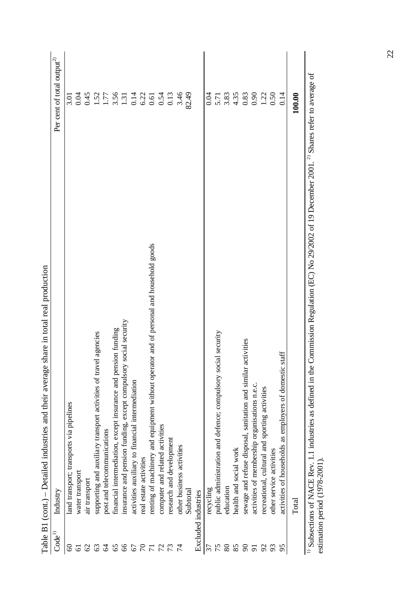|                    | share in total real production<br>Table B1 (cont.) - Detailed industries and their average                                                                               |                                        |
|--------------------|--------------------------------------------------------------------------------------------------------------------------------------------------------------------------|----------------------------------------|
| Code <sup>1)</sup> | Industry                                                                                                                                                                 | Per cent of total output <sup>2)</sup> |
| $\mathcal{S}$      | land transport; transports via pipelines                                                                                                                                 | 3.01                                   |
| 61                 | water transport                                                                                                                                                          | 0.04                                   |
| 62                 | air transport                                                                                                                                                            | 0.45                                   |
| 63                 | el agencies<br>supporting and auxiliary transport activities of trav                                                                                                     |                                        |
| 2                  | post and telecommunications                                                                                                                                              | $1.52$<br>$1.77$                       |
| 65                 | financial intermediation, except insurance and pension funding                                                                                                           | $3.56$<br>1.31                         |
| 66                 | social security<br>insurance and pension funding, except compulsory                                                                                                      |                                        |
| 67                 | activities auxiliary to financial intermediation                                                                                                                         | 0.14                                   |
| $\mathcal{L}$      | real estate activities                                                                                                                                                   | 6.22                                   |
| $\overline{7}$     | renting of machinery and equipment without operator and of personal and household goods                                                                                  | 0.61                                   |
| $\mathcal{L}$      | computer and related activities                                                                                                                                          | 0.54                                   |
| 73                 | research and development                                                                                                                                                 | 0.13                                   |
|                    | other business activities                                                                                                                                                | 3.46                                   |
|                    | Subtotal                                                                                                                                                                 | 82.49                                  |
|                    | Excluded industries                                                                                                                                                      |                                        |
| 37                 | recycling                                                                                                                                                                | 0.04                                   |
| 75                 | public administration and defence; compulsory social security                                                                                                            | 5.71                                   |
| 80                 | education                                                                                                                                                                | 3.83                                   |
| 85                 | health and social work                                                                                                                                                   | 4.35                                   |
| $\infty$           | activities<br>sewage and refuse disposal, sanitation and similar                                                                                                         | 0.83                                   |
| $\overline{5}$     | activities of membership organisations n.e.c.                                                                                                                            | 0.90                                   |
| $\mathcal{S}$      | recreational, cultural and sporting activities                                                                                                                           | 1.22                                   |
| 93                 | other service activities                                                                                                                                                 |                                        |
| 95                 | statf<br>activities of households as employers of domestic                                                                                                               | 0.14                                   |
|                    | Total                                                                                                                                                                    | 100.00                                 |
|                    | Commission Regulation (EC) No 29/2002 of 19 December 2001. <sup>2)</sup> Shares refer to average of<br>$^{1)}$ Subsections of NACE Rev. 1.1 industries as defined in the |                                        |

Table B1 (cont.) – Detailed industries and their average share in total real production  $\ddot{\phantom{0}}$ ł,  $\cdot$  $\ddot{z}$  $\epsilon$  $\tilde{\mathbf{r}}$  $T<sub>ab1</sub>$ 

estimation period (1978-2001). estimation period (1978-2001).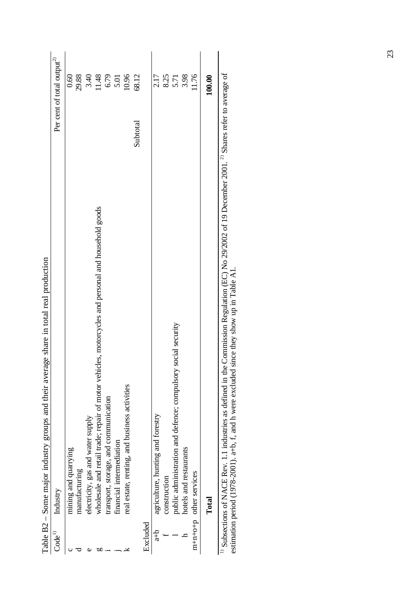|                    | able B2 – Some major industry groups and their average share in total real production                                                                                                                                                                                   |                                        |        |
|--------------------|-------------------------------------------------------------------------------------------------------------------------------------------------------------------------------------------------------------------------------------------------------------------------|----------------------------------------|--------|
| Code <sup>1)</sup> | Industry                                                                                                                                                                                                                                                                | Per cent of total output <sup>2)</sup> |        |
|                    | mining and quarrying                                                                                                                                                                                                                                                    |                                        | 0.60   |
|                    | manufacturing                                                                                                                                                                                                                                                           |                                        | 29.88  |
| d)                 | electricity, gas and water supply                                                                                                                                                                                                                                       |                                        | 3.40   |
| ЬΩ                 | wholesale and retail trade; repair of motor vehicles, motorcycles and personal and household goods                                                                                                                                                                      |                                        | 11.48  |
|                    | transport, storage, and communication                                                                                                                                                                                                                                   |                                        | 6.79   |
|                    | financial intermediation                                                                                                                                                                                                                                                |                                        | 5.01   |
|                    | real estate, renting, and business activities                                                                                                                                                                                                                           |                                        | 10.96  |
|                    |                                                                                                                                                                                                                                                                         | Subtotal                               | 68.12  |
| Excluded           |                                                                                                                                                                                                                                                                         |                                        |        |
| $\frac{d}{dt}$     | agriculture, hunting and forestry                                                                                                                                                                                                                                       |                                        | 2.17   |
|                    | construction                                                                                                                                                                                                                                                            |                                        | 8.25   |
|                    | public administration and defence; compulsory social security                                                                                                                                                                                                           |                                        | 5.71   |
|                    | hotels and restaurants                                                                                                                                                                                                                                                  |                                        | 3.98   |
|                    | $m+n+o+p$ other services                                                                                                                                                                                                                                                |                                        | 11.76  |
|                    | Total                                                                                                                                                                                                                                                                   |                                        | 100.00 |
|                    | Commission Regulation (EC) No 29/2002 of 19 December 2001. <sup>2)</sup> Shares refer to average of<br>estimation period (1978-2001). a+b, f, and h were excluded since they show up in Table A1.<br>Subsections of NACE Rev. 1.1 industries as defined in the $\theta$ |                                        |        |

Table B2 – Some major industry groups and their average share in total real production Ŕ ś Ŕ  $\overline{a}$  $\ddot{\phantom{0}}$  $\ddot{\phantom{0}}$  $\overline{d}$  those  $\frac{1}{2}$  $\frac{1}{2}$  $\ddot{\phantom{0}}$ ò  $T<sub>ab</sub>1<sub>a</sub>$  D<sub>1</sub>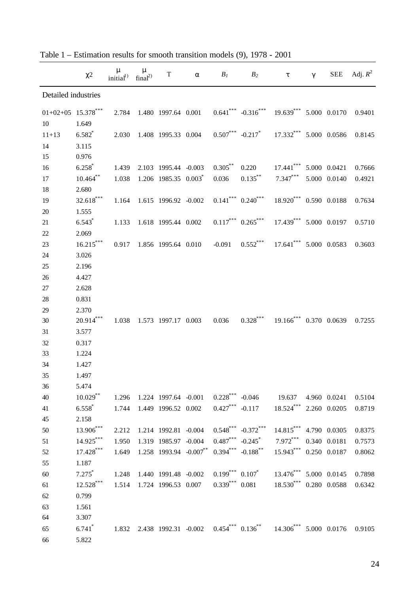|                              | $\chi$ <sup>2</sup>  | m<br>initial <sup>1)</sup> | $\mathbf{m}$<br>final <sup>2</sup> | $\mathbf T$          | a | $B_I$      | B <sub>2</sub>                                                                                          | $\tau$                 | $\gamma$ | <b>SEE</b>   | Adj. $R^2$ |
|------------------------------|----------------------|----------------------------|------------------------------------|----------------------|---|------------|---------------------------------------------------------------------------------------------------------|------------------------|----------|--------------|------------|
| Detailed industries          |                      |                            |                                    |                      |   |            |                                                                                                         |                        |          |              |            |
| $01+02+05$ $15.378***$<br>10 | 1.649                | 2.784                      |                                    |                      |   |            | 1.480 1997.64 0.001 $0.641***$ $-0.316***$                                                              | 19.639*** 5.000 0.0170 |          |              | 0.9401     |
| $11 + 13$                    | $6.582*$             | 2.030                      |                                    | 1.408 1995.33 0.004  |   |            | $0.507***$ $-0.217*$ $17.332***$ 5.000 0.0586                                                           |                        |          |              | 0.8145     |
| 14                           | 3.115                |                            |                                    |                      |   |            |                                                                                                         |                        |          |              |            |
| 15                           | 0.976                |                            |                                    |                      |   |            |                                                                                                         |                        |          |              |            |
| 16                           | $6.258*$             | 1.439                      |                                    | 2.103 1995.44 -0.003 |   | $0.305$ ** | 0.220                                                                                                   | $17.441***$            |          | 5.000 0.0421 | 0.7666     |
| 17                           | $10.464$ **          | 1.038                      |                                    | 1.206 1985.35 0.003  |   | 0.036      | $0.135$ **                                                                                              | $7.347***$             |          | 5.000 0.0140 | 0.4921     |
| 18                           | 2.680                |                            |                                    |                      |   |            |                                                                                                         |                        |          |              |            |
| 19                           | $32.618***$          | 1.164                      |                                    | 1.615 1996.92 -0.002 |   |            | $0.141$ *** $0.240$ ***                                                                                 | 18.920*** 0.590 0.0188 |          |              | 0.7634     |
| 20                           | 1.555                |                            |                                    |                      |   |            |                                                                                                         |                        |          |              |            |
| 21                           | $6.543*$             | 1.133                      |                                    | 1.618 1995.44 0.002  |   |            | $0.117***$ $0.265***$                                                                                   | 17.439*** 5.000 0.0197 |          |              | 0.5710     |
| 22                           | 2.069                |                            |                                    |                      |   |            |                                                                                                         |                        |          |              |            |
| 23                           | $16.215***$          | 0.917                      |                                    | 1.856 1995.64 0.010  |   | $-0.091$   | $0.552***$                                                                                              | 17.641*** 5.000 0.0583 |          |              | 0.3603     |
| 24                           | 3.026                |                            |                                    |                      |   |            |                                                                                                         |                        |          |              |            |
| 25                           | 2.196                |                            |                                    |                      |   |            |                                                                                                         |                        |          |              |            |
| 26                           | 4.427                |                            |                                    |                      |   |            |                                                                                                         |                        |          |              |            |
| 27                           | 2.628                |                            |                                    |                      |   |            |                                                                                                         |                        |          |              |            |
| $28\,$                       | 0.831                |                            |                                    |                      |   |            |                                                                                                         |                        |          |              |            |
| 29                           | 2.370                |                            |                                    |                      |   |            |                                                                                                         |                        |          |              |            |
| 30                           | $20.914***$          | 1.038                      |                                    | 1.573 1997.17 0.003  |   | 0.036      | $0.328$ ***                                                                                             | 19.166*** 0.370 0.0639 |          |              | 0.7255     |
| 31                           | 3.577                |                            |                                    |                      |   |            |                                                                                                         |                        |          |              |            |
| 32                           | 0.317                |                            |                                    |                      |   |            |                                                                                                         |                        |          |              |            |
| 33                           | 1.224                |                            |                                    |                      |   |            |                                                                                                         |                        |          |              |            |
| 34                           | 1.427                |                            |                                    |                      |   |            |                                                                                                         |                        |          |              |            |
| 35                           | 1.497                |                            |                                    |                      |   |            |                                                                                                         |                        |          |              |            |
| 36                           | 5.474                |                            |                                    |                      |   |            |                                                                                                         |                        |          |              |            |
| 40                           | $10.029$ **          |                            |                                    |                      |   |            | 1.296 1.224 1997.64 -0.001 0.228 <sup>***</sup> -0.046 19.637 4.960 0.0241                              |                        |          |              | 0.5104     |
| 41                           | $6.558^*$            |                            |                                    |                      |   |            | 1.744 1.449 1996.52 0.002 0.427*** -0.117 18.524*** 2.260 0.0205                                        |                        |          |              | 0.8719     |
| 45                           | 2.158                |                            |                                    |                      |   |            |                                                                                                         |                        |          |              |            |
| 50                           | 13.906***            | 2.212                      |                                    | 1.214 1992.81 -0.004 |   |            | $0.548$ *** $-0.372$ ***                                                                                | 14.815*** 4.790 0.0305 |          |              | 0.8375     |
| 51                           | $14.925***$          | 1.950                      |                                    | 1.319 1985.97 -0.004 |   |            | $0.487$ *** $-0.245$ *                                                                                  | $7.972***$             |          | 0.340 0.0181 | 0.7573     |
| 52                           | $17.428***$          |                            |                                    |                      |   |            | $1.649$ $1.258$ 1993.94 $-0.007^{**}$ $0.394^{***}$ $-0.188^{**}$                                       | 15.943*** 0.250 0.0187 |          |              | 0.8062     |
| 55                           | 1.187                |                            |                                    |                      |   |            |                                                                                                         |                        |          |              |            |
| 60                           | $7.275^*$            |                            |                                    |                      |   |            | $1.248$ 1.440 1991.48 -0.002 0.199 <sup>***</sup> 0.107 <sup>*</sup> 13.476 <sup>***</sup> 5.000 0.0145 |                        |          |              | 0.7898     |
| 61                           | $12.528***$          |                            |                                    |                      |   |            | 1.514 1.724 1996.53 0.007 0.339*** 0.081 18.530*** 0.280 0.0588                                         |                        |          |              | 0.6342     |
| 62                           | 0.799                |                            |                                    |                      |   |            |                                                                                                         |                        |          |              |            |
| 63                           | 1.561                |                            |                                    |                      |   |            |                                                                                                         |                        |          |              |            |
| 64                           | 3.307                |                            |                                    |                      |   |            |                                                                                                         |                        |          |              |            |
| 65                           | $6.741$ <sup>*</sup> |                            |                                    |                      |   |            | 1.832 2.438 1992.31 -0.002 0.454*** $0.136$ ** 14.306*** 5.000 0.0176                                   |                        |          |              | 0.9105     |
| 66                           | 5.822                |                            |                                    |                      |   |            |                                                                                                         |                        |          |              |            |

Table 1 – Estimation results for smooth transition models (9), 1978 - 2001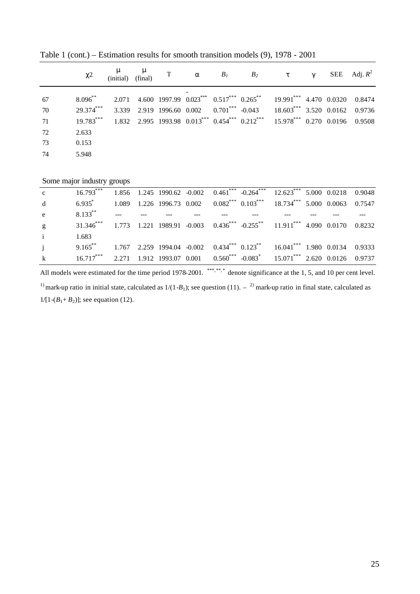|    | c2           | $\mathbf{m}$ $\mathbf{m}$<br>(initial) (final) |  |  | T a $B_1$ $B_2$ $\tau$                                                                          | $\gamma$ | SEE Adj. $R^2$ |
|----|--------------|------------------------------------------------|--|--|-------------------------------------------------------------------------------------------------|----------|----------------|
| 67 | $8.096^{**}$ |                                                |  |  | 2.071 4.600 1997.99 0.023*** 0.517*** 0.265** 19.991*** 4.470 0.0320 0.8474                     |          |                |
| 70 | $29.374***$  |                                                |  |  | 3.339 2.919 1996.60 0.002 0.701*** -0.043 18.603*** 3.520 0.0162 0.9736                         |          |                |
| 71 |              |                                                |  |  | 19.783*** 1.832 2.995 1993.98 $0.013$ *** $0.454$ *** $0.212$ *** 15.978*** 0.270 0.0196 0.9508 |          |                |
| 72 | 2.633        |                                                |  |  |                                                                                                 |          |                |
| 73 | 0.153        |                                                |  |  |                                                                                                 |          |                |
| 74 | 5.948        |                                                |  |  |                                                                                                 |          |                |
|    |              |                                                |  |  |                                                                                                 |          |                |

Table 1 (cont.) – Estimation results for smooth transition models (9), 1978 - 2001

Some major industry groups

| $\mathbf{c}$ and $\mathbf{c}$ | 16.793*** 1.856 1.245 1990.62 -0.002 0.461*** -0.264*** 12.623*** 5.000 0.0218 0.9048                          |  |  |  |  |  |
|-------------------------------|----------------------------------------------------------------------------------------------------------------|--|--|--|--|--|
| d                             | $6.935^*$ 1.089 1.226 1996.73 0.002 0.082*** 0.103*** 18.734*** 5.000 0.0063 0.7547                            |  |  |  |  |  |
| e                             | $8.133$ $\cdots$ $\cdots$ $\cdots$                                                                             |  |  |  |  |  |
| g                             | 31.346*** 1.773 1.221 1989.91 -0.003 0.436*** -0.255** 11.911*** 4.090 0.0170 0.8232                           |  |  |  |  |  |
| $\mathbf{i}$                  | 1.683                                                                                                          |  |  |  |  |  |
|                               | $1.767$ $2.259$ 1994.04 $-0.002$ $0.434$ <sup>***</sup> $0.123$ <sup>**</sup> $16.041$ *** 1.980 0.0134 0.9333 |  |  |  |  |  |
|                               | k 16.717*** 2.271 1.912 1993.07 0.001 0.560*** -0.083* 15.071*** 2.620 0.0126 0.9737                           |  |  |  |  |  |

All models were estimated for the time period 1978-2001. \*\*\*,\*\*,\* denote significance at the 1, 5, and 10 per cent level.

<sup>1)</sup> mark-up ratio in initial state, calculated as  $1/(1-B_1)$ ; see question (11).  $-$  <sup>2)</sup> mark-up ratio in final state, calculated as  $1/[1-(B_1+B_2)]$ ; see equation (12).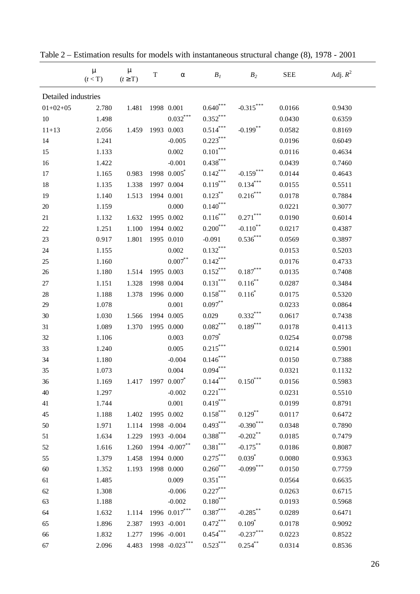|                     | $\boldsymbol{m}$<br>(t < T) | $\boldsymbol{m}$<br>$(t \geq T)$ | $\mathbf T$ | a                              | B <sub>I</sub>                 | B <sub>2</sub>               | <b>SEE</b> | Adj. $R^2$ |
|---------------------|-----------------------------|----------------------------------|-------------|--------------------------------|--------------------------------|------------------------------|------------|------------|
| Detailed industries |                             |                                  |             |                                |                                |                              |            |            |
| $01+02+05$          | 2.780                       | 1.481                            |             | 1998 0.001                     | $0.640^{***}$                  | $-0.315***$                  | 0.0166     | 0.9430     |
| 10                  | 1.498                       |                                  |             | $0.032^\ast{}^{\ast}{}^{\ast}$ | $0.352^{\ast\ast\ast}$         |                              | 0.0430     | 0.6359     |
| $11 + 13$           | 2.056                       | 1.459                            |             | 1993 0.003                     | $0.514***$                     | $-0.199$ **                  | 0.0582     | 0.8169     |
| 14                  | 1.241                       |                                  |             | $-0.005$                       | $0.223^\ast{}^{\ast}{}^{\ast}$ |                              | 0.0196     | 0.6049     |
| 15                  | 1.133                       |                                  |             | 0.002                          | $0.101^{\ast\ast\ast}$         |                              | 0.0116     | 0.4634     |
| 16                  | 1.422                       |                                  |             | $-0.001$                       | $0.438$ ***                    |                              | 0.0439     | 0.7460     |
| 17                  | 1.165                       | 0.983                            |             | 1998 0.005*                    | $0.142***$                     | $-0.159$ ***                 | 0.0144     | 0.4643     |
| 18                  | 1.135                       | 1.338                            |             | 1997 0.004                     | $0.119***$                     | $0.134***$                   | 0.0155     | 0.5511     |
| 19                  | 1.140                       | 1.513                            |             | 1994 0.001                     | $0.123***$                     | $0.216$ ***                  | 0.0178     | 0.7884     |
| $20\,$              | 1.159                       |                                  |             | 0.000                          | $0.140***$                     |                              | 0.0221     | 0.3077     |
| 21                  | 1.132                       | 1.632                            |             | 1995 0.002                     | $0.116***$                     | $0.271***$                   | 0.0190     | 0.6014     |
| 22                  | 1.251                       | 1.100                            |             | 1994 0.002                     | $0.200^\ast{}^{\ast}{}^{\ast}$ | $\textbf{-0.110}^{**}$       | 0.0217     | 0.4387     |
| 23                  | 0.917                       | 1.801                            |             | 1995 0.010                     | $-0.091$                       | $0.536^{***}$                | 0.0569     | 0.3897     |
| 24                  | 1.155                       |                                  |             | 0.002                          | $0.132^{\ast\ast\ast}$         |                              | 0.0153     | 0.5203     |
| 25                  | 1.160                       |                                  |             | $0.007^{**}$                   | $0.142***$                     |                              | 0.0176     | 0.4733     |
| 26                  | 1.180                       | 1.514                            |             | 1995 0.003                     | $0.152^{\ast\ast\ast}$         | $0.187^{\ast\ast\ast}$       | 0.0135     | 0.7408     |
| 27                  | 1.151                       | 1.328                            |             | 1998 0.004                     | $0.131^{\ast\ast\ast}$         | $0.116$ **                   | 0.0287     | 0.3484     |
| 28                  | 1.188                       | 1.378                            |             | 1996 0.000                     | $0.158^{\ast\ast\ast}$         | $0.116^{*}$                  | 0.0175     | 0.5320     |
| 29                  | 1.078                       |                                  |             | 0.001                          | $0.097**$                      |                              | 0.0233     | 0.0864     |
| 30                  | 1.030                       | 1.566                            |             | 1994 0.005                     | 0.029                          | $0.332***$                   | 0.0617     | 0.7438     |
| 31                  | 1.089                       | 1.370                            |             | 1995 0.000                     | $0.082^{\ast\ast\ast}$         | $0.189$ ***                  | 0.0178     | 0.4113     |
| 32                  | 1.106                       |                                  |             | 0.003                          | $0.079^{*}$                    |                              | 0.0254     | 0.0798     |
| 33                  | 1.240                       |                                  |             | 0.005                          | $0.215***$                     |                              | 0.0214     | 0.5901     |
| 34                  | 1.180                       |                                  |             | $-0.004$                       | $0.146^{***}$                  |                              | 0.0150     | 0.7388     |
| 35                  | 1.073                       |                                  |             | 0.004                          | $0.094***$                     |                              | 0.0321     | 0.1132     |
| 36                  | 1.169                       | 1.417                            |             | 1997 0.007*                    | 0.144                          | 0.150                        | 0.0156     | 0.5983     |
| 40                  | 1.297                       |                                  |             | $-0.002$                       | $0.221^{\ast\ast\ast}$         |                              | 0.0231     | 0.5510     |
| 41                  | 1.744                       |                                  |             | 0.001                          | $0.419^\ast{}^{\ast}{}^{\ast}$ |                              | 0.0199     | 0.8791     |
| 45                  | 1.188                       | 1.402                            |             | 1995 0.002                     | $0.158$ ***                    | $0.129$ **                   | 0.0117     | 0.6472     |
| 50                  | 1.971                       | 1.114                            |             | 1998 -0.004                    | $0.493***$                     | $-0.390$ ***                 | 0.0348     | 0.7890     |
| 51                  | 1.634                       | 1.229                            |             | 1993 -0.004                    | $0.388^{\ast\ast\ast}$         | $\textbf{-0.202}^{\ast\ast}$ | 0.0185     | 0.7479     |
| 52                  | 1.616                       | 1.260                            |             | 1994 -0.007**                  | $0.381^{\ast\ast\ast}$         | $-0.175***$                  | 0.0186     | 0.8087     |
| 55                  | 1.379                       | 1.458                            |             | 1994 0.000                     | $0.275***$                     | $0.039^{*}$                  | 0.0080     | 0.9363     |
| 60                  | 1.352                       | 1.193                            |             | 1998 0.000                     | $0.260^\ast{}^{\ast}{}^{\ast}$ | $-0.099$ ***                 | 0.0150     | 0.7759     |
| 61                  | 1.485                       |                                  |             | 0.009                          | $0.351^{\ast\ast\ast}$         |                              | 0.0564     | 0.6635     |
| 62                  | 1.308                       |                                  |             | $-0.006$                       | $0.227^{\ast\ast\ast}$         |                              | 0.0263     | 0.6715     |
| 63                  | 1.188                       |                                  |             | $-0.002$                       | $0.180^{\ast\ast\ast}$         |                              | 0.0193     | 0.5968     |
| 64                  | 1.632                       | 1.114                            |             | 1996 0.017***                  | $0.387^{\ast\ast\ast}$         | $-0.285$ **                  | 0.0289     | 0.6471     |
| 65                  | 1.896                       | 2.387                            |             | 1993 -0.001                    | $0.472^\ast{}^{\ast}{}^{\ast}$ | $0.109*$                     | 0.0178     | 0.9092     |
| 66                  | 1.832                       | 1.277                            |             | 1996 -0.001                    | $0.454^{\ast\ast\ast}$         | $-0.237***$                  | 0.0223     | 0.8522     |
| 67                  | 2.096                       | 4.483                            |             | 1998 -0.023***                 | $0.523^{\ast\ast\ast}$         | $0.254^{**}$                 | 0.0314     | 0.8536     |

Table 2 – Estimation results for models with instantaneous structural change (8), 1978 - 2001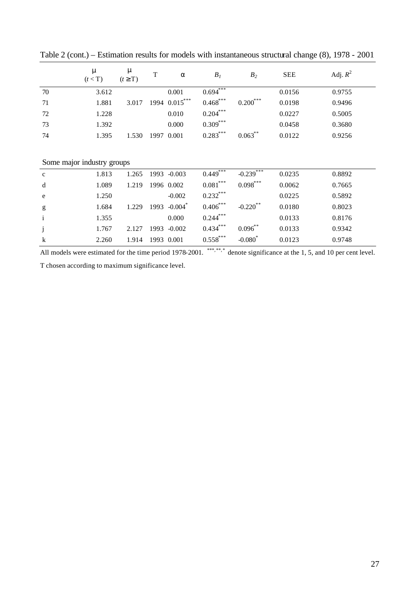|                            | $\mathbf{m}$<br>(t < T) | $\mathbf{m}$<br>$(t \geq T)$ | $\mathbf T$ | a                     | B <sub>I</sub>         | B <sub>2</sub>          | <b>SEE</b> | Adj. $R^2$ |
|----------------------------|-------------------------|------------------------------|-------------|-----------------------|------------------------|-------------------------|------------|------------|
| 70                         | 3.612                   |                              |             | 0.001                 | 0.694                  |                         | 0.0156     | 0.9755     |
| 71                         | 1.881                   | 3.017                        |             | 1994 0.015***         | $0.468$ ***            | $0.200$ ***             | 0.0198     | 0.9496     |
| 72                         | 1.228                   |                              |             | 0.010                 | $0.204***$             |                         | 0.0227     | 0.5005     |
| 73                         | 1.392                   |                              |             | 0.000                 | $0.309$ ***            |                         | 0.0458     | 0.3680     |
| 74                         | 1.395                   | 1.530                        | 1997        | 0.001                 | $0.283***$             | $0.063^{**}$            | 0.0122     | 0.9256     |
| Some major industry groups |                         |                              |             |                       |                        |                         |            |            |
| $\mathbf c$                | 1.813                   | 1.265                        | 1993        | $-0.003$              | $0.449$ <sup>***</sup> | $-0.239$ <sup>***</sup> | 0.0235     | 0.8892     |
| d                          | 1.089                   | 1.219                        |             | 1996 0.002            | $0.081^{\ast\ast\ast}$ | $0.098$ ***             | 0.0062     | 0.7665     |
| e                          | 1.250                   |                              |             | $-0.002$              | $0.232$ ***            |                         | 0.0225     | 0.5892     |
| g                          | 1.684                   | 1.229                        | 1993        | $-0.004$ <sup>*</sup> | $0.406$ ***            | $-0.220$ **             | 0.0180     | 0.8023     |
| $\mathbf{i}$               | 1.355                   |                              |             | 0.000                 | $0.244$ ***            |                         | 0.0133     | 0.8176     |
| $\mathrm{j}$               | 1.767                   | 2.127                        | 1993        | $-0.002$              | $0.434***$             | $0.096^{**}$            | 0.0133     | 0.9342     |

Table 2 (cont.) – Estimation results for models with instantaneous structural change (8), 1978 - 2001

All models were estimated for the time period 1978-2001. \*\*\*,\*\*,\* denote significance at the 1, 5, and 10 per cent level.

 $-0.080$ <sup>\*</sup>

0.0123 0.9748

T chosen according to maximum significance level.

k 2.260 1.914 1993 0.001 0.558\*\*\*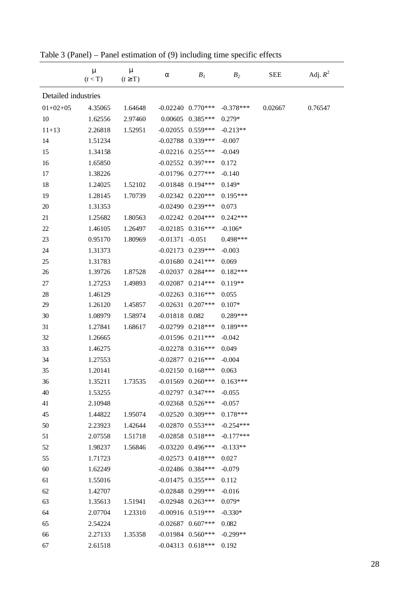|                     | $\mathbf{m}$<br>(t < T) | $\mathbf{m}$<br>$(t \geq T)$ | a                  | B <sub>I</sub>        | B <sub>2</sub> | <b>SEE</b> | Adj. $R^2$ |
|---------------------|-------------------------|------------------------------|--------------------|-----------------------|----------------|------------|------------|
| Detailed industries |                         |                              |                    |                       |                |            |            |
| $01+02+05$          | 4.35065                 | 1.64648                      |                    | $-0.02240$ $0.770***$ | $-0.378***$    | 0.02667    | 0.76547    |
| 10                  | 1.62556                 | 2.97460                      |                    | $0.00605$ $0.385***$  | $0.279*$       |            |            |
| $11 + 13$           | 2.26818                 | 1.52951                      |                    | $-0.02055$ 0.559***   | $-0.213**$     |            |            |
| 14                  | 1.51234                 |                              |                    | $-0.02788$ 0.339***   | $-0.007$       |            |            |
| 15                  | 1.34158                 |                              |                    | $-0.02216$ $0.255***$ | $-0.049$       |            |            |
| 16                  | 1.65850                 |                              |                    | $-0.02552$ 0.397***   | 0.172          |            |            |
| 17                  | 1.38226                 |                              |                    | $-0.01796$ 0.277***   | $-0.140$       |            |            |
| 18                  | 1.24025                 | 1.52102                      |                    | $-0.01848$ 0.194***   | $0.149*$       |            |            |
| 19                  | 1.28145                 | 1.70739                      |                    | $-0.02342$ $0.220***$ | $0.195***$     |            |            |
| 20                  | 1.31353                 |                              |                    | $-0.02490$ $0.239***$ | 0.073          |            |            |
| 21                  | 1.25682                 | 1.80563                      |                    | $-0.02242$ $0.204***$ | $0.242***$     |            |            |
| 22                  | 1.46105                 | 1.26497                      |                    | $-0.02185$ 0.316***   | $-0.106*$      |            |            |
| 23                  | 0.95170                 | 1.80969                      | $-0.01371 - 0.051$ |                       | $0.498***$     |            |            |
| 24                  | 1.31373                 |                              |                    | $-0.02173$ 0.239***   | $-0.003$       |            |            |
| 25                  | 1.31783                 |                              |                    | $-0.01680$ $0.241***$ | 0.069          |            |            |
| 26                  | 1.39726                 | 1.87528                      |                    | $-0.02037$ 0.284***   | $0.182***$     |            |            |
| 27                  | 1.27253                 | 1.49893                      |                    | $-0.02087$ 0.214***   | $0.119**$      |            |            |
| 28                  | 1.46129                 |                              |                    | $-0.02263$ $0.316***$ | 0.055          |            |            |
| 29                  | 1.26120                 | 1.45857                      |                    | $-0.02631$ $0.207***$ | $0.107*$       |            |            |
| 30                  | 1.08979                 | 1.58974                      | $-0.01818$ 0.082   |                       | $0.289***$     |            |            |
| 31                  | 1.27841                 | 1.68617                      |                    | $-0.02799$ $0.218***$ | $0.189***$     |            |            |
| 32                  | 1.26665                 |                              |                    | $-0.01596$ $0.211***$ | $-0.042$       |            |            |
| 33                  | 1.46275                 |                              |                    | $-0.02278$ $0.316***$ | 0.049          |            |            |
| 34                  | 1.27553                 |                              |                    | $-0.02877$ 0.216***   | $-0.004$       |            |            |
| 35                  | 1.20141                 |                              |                    | $-0.02150$ $0.168***$ | 0.063          |            |            |
| 36                  | 1.35211                 | 1.73535                      |                    | $-0.01569$ $0.260***$ | $0.163***$     |            |            |
| 40                  | 1.53255                 |                              |                    | $-0.02797$ 0.347***   | $-0.055$       |            |            |
| 41                  | 2.10948                 |                              |                    | $-0.02368$ $0.526***$ | $-0.057$       |            |            |
| 45                  | 1.44822                 | 1.95074                      |                    | $-0.02520$ 0.309***   | $0.178***$     |            |            |
| 50                  | 2.23923                 | 1.42644                      |                    | $-0.02870$ 0.553***   | $-0.254***$    |            |            |
| 51                  | 2.07558                 | 1.51718                      |                    | $-0.02858$ $0.518***$ | $-0.177***$    |            |            |
| 52                  | 1.98237                 | 1.56846                      |                    | $-0.03220$ $0.496***$ | $-0.133**$     |            |            |
| 55                  | 1.71723                 |                              |                    | $-0.02573$ 0.418***   | 0.027          |            |            |
| 60                  | 1.62249                 |                              |                    | $-0.02486$ 0.384***   | $-0.079$       |            |            |
| 61                  | 1.55016                 |                              |                    | $-0.01475$ 0.355***   | 0.112          |            |            |
| 62                  | 1.42707                 |                              |                    | $-0.02848$ 0.299***   | $-0.016$       |            |            |
| 63                  | 1.35613                 | 1.51941                      |                    | $-0.02948$ 0.263***   | $0.079*$       |            |            |
| 64                  | 2.07704                 | 1.23310                      |                    | $-0.00916$ 0.519***   | $-0.330*$      |            |            |
| 65                  | 2.54224                 |                              |                    | $-0.02687$ 0.607***   | 0.082          |            |            |
| 66                  | 2.27133                 | 1.35358                      |                    | $-0.01984$ $0.560***$ | $-0.299**$     |            |            |
| 67                  | 2.61518                 |                              |                    | $-0.04313$ $0.618***$ | 0.192          |            |            |

Table 3 (Panel) – Panel estimation of (9) including time specific effects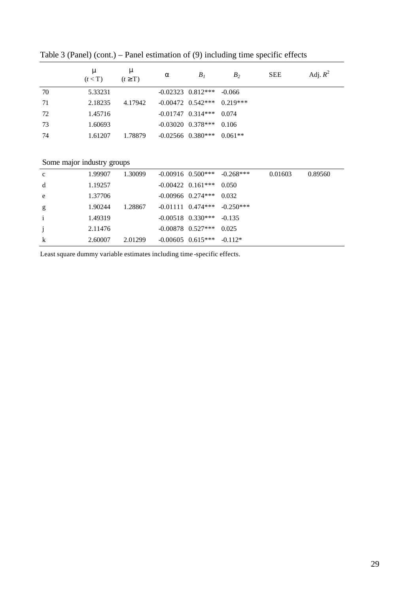|    | m<br>(t < T) | m<br>$(t \geq T)$ | a | $B_I$                            | B <sub>2</sub> | <b>SEE</b> | Adj. $R^2$ |
|----|--------------|-------------------|---|----------------------------------|----------------|------------|------------|
| 70 | 5.33231      |                   |   | $-0.02323$ $0.812***$ $-0.066$   |                |            |            |
| 71 | 2.18235      | 4.17942           |   | $-0.00472$ $0.542***$ $0.219***$ |                |            |            |
| 72 | 1.45716      |                   |   | $-0.01747$ $0.314***$ 0.074      |                |            |            |
| 73 | 1.60693      |                   |   | $-0.03020$ $0.378***$            | 0.106          |            |            |
| 74 | 1.61207      | 1.78879           |   | $-0.02566$ $0.380***$ $0.061**$  |                |            |            |

Table 3 (Panel) (cont.) – Panel estimation of (9) including time specific effects

#### Some major industry groups

| $\frac{1}{2}$ |         |         |                                 |                                   |         |         |
|---------------|---------|---------|---------------------------------|-----------------------------------|---------|---------|
| $\mathbf c$   | 1.99907 | 1.30099 |                                 | $-0.00916$ $0.500***$ $-0.268***$ | 0.01603 | 0.89560 |
| d             | 1.19257 |         | $-0.00422$ $0.161***$           | 0.050                             |         |         |
| e             | 1.37706 |         | $-0.00966$ $0.274***$ 0.032     |                                   |         |         |
| g             | 1.90244 | 1.28867 |                                 | $-0.01111$ $0.474***$ $-0.250***$ |         |         |
| $\mathbf{i}$  | 1.49319 |         | $-0.00518$ $0.330***$ $-0.135$  |                                   |         |         |
| $\mathbf{j}$  | 2.11476 |         | $-0.00878$ 0.527***             | 0.025                             |         |         |
| $\mathbf k$   | 2.60007 | 2.01299 | $-0.00605$ $0.615***$ $-0.112*$ |                                   |         |         |
|               |         |         |                                 |                                   |         |         |

Least square dummy variable estimates including time -specific effects.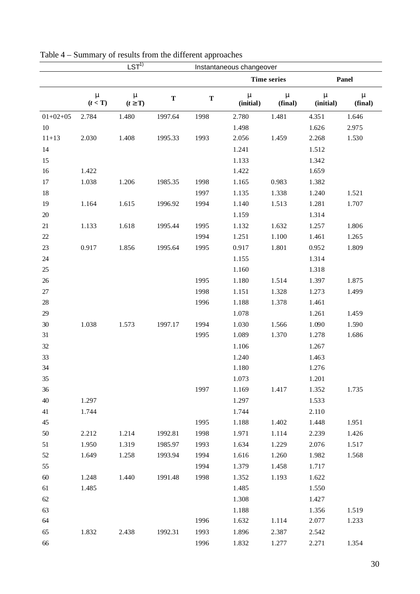|            |                         | $LST^{1)}$                |             |             | Instantaneous changeover  |                         |                           |                         |  |  |
|------------|-------------------------|---------------------------|-------------|-------------|---------------------------|-------------------------|---------------------------|-------------------------|--|--|
|            |                         |                           |             |             |                           | <b>Time series</b>      |                           | Panel                   |  |  |
|            | $\mathbf{m}$<br>(t < T) | $\mathbf{m}$<br>$(t^3 T)$ | $\mathbf T$ | $\mathbf T$ | $\mathbf{m}$<br>(initial) | $\mathbf{m}$<br>(final) | $\mathbf{m}$<br>(initial) | $\mathbf{m}$<br>(final) |  |  |
| $01+02+05$ | 2.784                   | 1.480                     | 1997.64     | 1998        | 2.780                     | 1.481                   | 4.351                     | 1.646                   |  |  |
| $10\,$     |                         |                           |             |             | 1.498                     |                         | 1.626                     | 2.975                   |  |  |
| $11 + 13$  | 2.030                   | 1.408                     | 1995.33     | 1993        | 2.056                     | 1.459                   | 2.268                     | 1.530                   |  |  |
| 14         |                         |                           |             |             | 1.241                     |                         | 1.512                     |                         |  |  |
| 15         |                         |                           |             |             | 1.133                     |                         | 1.342                     |                         |  |  |
| 16         | 1.422                   |                           |             |             | 1.422                     |                         | 1.659                     |                         |  |  |
| 17         | 1.038                   | 1.206                     | 1985.35     | 1998        | 1.165                     | 0.983                   | 1.382                     |                         |  |  |
| 18         |                         |                           |             | 1997        | 1.135                     | 1.338                   | 1.240                     | 1.521                   |  |  |
| 19         | 1.164                   | 1.615                     | 1996.92     | 1994        | 1.140                     | 1.513                   | 1.281                     | 1.707                   |  |  |
| $20\,$     |                         |                           |             |             | 1.159                     |                         | 1.314                     |                         |  |  |
| 21         | 1.133                   | 1.618                     | 1995.44     | 1995        | 1.132                     | 1.632                   | 1.257                     | 1.806                   |  |  |
| $22\,$     |                         |                           |             | 1994        | 1.251                     | 1.100                   | 1.461                     | 1.265                   |  |  |
| 23         | 0.917                   | 1.856                     | 1995.64     | 1995        | 0.917                     | 1.801                   | 0.952                     | 1.809                   |  |  |
| $24\,$     |                         |                           |             |             | 1.155                     |                         | 1.314                     |                         |  |  |
| $25\,$     |                         |                           |             |             | 1.160                     |                         | 1.318                     |                         |  |  |
| $26\,$     |                         |                           |             | 1995        | 1.180                     | 1.514                   | 1.397                     | 1.875                   |  |  |
| $27\,$     |                         |                           |             | 1998        | 1.151                     | 1.328                   | 1.273                     | 1.499                   |  |  |
| 28         |                         |                           |             | 1996        | 1.188                     | 1.378                   | 1.461                     |                         |  |  |
| 29         |                         |                           |             |             | 1.078                     |                         | 1.261                     | 1.459                   |  |  |
| 30         | 1.038                   | 1.573                     | 1997.17     | 1994        | 1.030                     | 1.566                   | 1.090                     | 1.590                   |  |  |
| 31         |                         |                           |             | 1995        | 1.089                     | 1.370                   | 1.278                     | 1.686                   |  |  |
| 32         |                         |                           |             |             | 1.106                     |                         | 1.267                     |                         |  |  |
| 33         |                         |                           |             |             | 1.240                     |                         | 1.463                     |                         |  |  |
| 34         |                         |                           |             |             | 1.180                     |                         | 1.276                     |                         |  |  |
| 35         |                         |                           |             |             | 1.073                     |                         | 1.201                     |                         |  |  |
| 36         |                         |                           |             | 1997        | 1.169                     | 1.417                   | 1.352                     | 1.735                   |  |  |
| $40\,$     | 1.297                   |                           |             |             | 1.297                     |                         | 1.533                     |                         |  |  |
| 41         | 1.744                   |                           |             |             | 1.744                     |                         | 2.110                     |                         |  |  |
| 45         |                         |                           |             | 1995        | 1.188                     | 1.402                   | 1.448                     | 1.951                   |  |  |
| 50         | 2.212                   | 1.214                     | 1992.81     | 1998        | 1.971                     | 1.114                   | 2.239                     | 1.426                   |  |  |
| 51         | 1.950                   | 1.319                     | 1985.97     | 1993        | 1.634                     | 1.229                   | 2.076                     | 1.517                   |  |  |
| 52         | 1.649                   | 1.258                     | 1993.94     | 1994        | 1.616                     | 1.260                   | 1.982                     | 1.568                   |  |  |
| 55         |                         |                           |             | 1994        | 1.379                     | 1.458                   | 1.717                     |                         |  |  |
| 60         | 1.248                   | 1.440                     | 1991.48     | 1998        | 1.352                     | 1.193                   | 1.622                     |                         |  |  |
| 61         | 1.485                   |                           |             |             | 1.485                     |                         | 1.550                     |                         |  |  |
| 62         |                         |                           |             |             | 1.308                     |                         | 1.427                     |                         |  |  |
| 63         |                         |                           |             |             | 1.188                     |                         | 1.356                     | 1.519                   |  |  |
| 64         |                         |                           |             | 1996        | 1.632                     | 1.114                   | 2.077                     | 1.233                   |  |  |
| 65         | 1.832                   | 2.438                     | 1992.31     | 1993        | 1.896                     | 2.387                   | 2.542                     |                         |  |  |
| 66         |                         |                           |             | 1996        | 1.832                     | 1.277                   | 2.271                     | 1.354                   |  |  |

| Table 4 – Summary of results from the different approaches |  |
|------------------------------------------------------------|--|
|------------------------------------------------------------|--|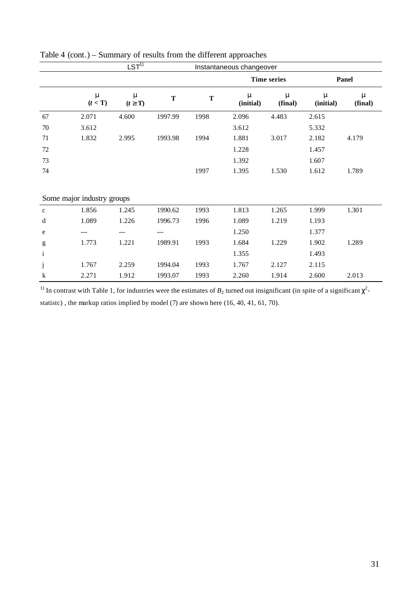|              |                            | $LST^{1)}$     |             | Instantaneous changeover |                    |              |                |              |
|--------------|----------------------------|----------------|-------------|--------------------------|--------------------|--------------|----------------|--------------|
|              |                            |                |             |                          | <b>Time series</b> |              | <b>Panel</b>   |              |
|              | m<br>(t < T)               | m<br>$(t^3 T)$ | $\mathbf T$ | $\mathbf T$              | m<br>(initial)     | m<br>(final) | m<br>(initial) | m<br>(final) |
| 67           | 2.071                      | 4.600          | 1997.99     | 1998                     | 2.096              | 4.483        | 2.615          |              |
| 70           | 3.612                      |                |             |                          | 3.612              |              | 5.332          |              |
| 71           | 1.832                      | 2.995          | 1993.98     | 1994                     | 1.881              | 3.017        | 2.182          | 4.179        |
| $72\,$       |                            |                |             |                          | 1.228              |              | 1.457          |              |
| 73           |                            |                |             |                          | 1.392              |              | 1.607          |              |
| 74           |                            |                |             | 1997                     | 1.395              | 1.530        | 1.612          | 1.789        |
|              |                            |                |             |                          |                    |              |                |              |
|              | Some major industry groups |                |             |                          |                    |              |                |              |
| $\mathbf c$  | 1.856                      | 1.245          | 1990.62     | 1993                     | 1.813              | 1.265        | 1.999          | 1.301        |
| d            | 1.089                      | 1.226          | 1996.73     | 1996                     | 1.089              | 1.219        | 1.193          |              |
| e            | ---                        | ---            | ---         |                          | 1.250              |              | 1.377          |              |
| g            | 1.773                      | 1.221          | 1989.91     | 1993                     | 1.684              | 1.229        | 1.902          | 1.289        |
| $\mathbf{i}$ |                            |                |             |                          | 1.355              |              | 1.493          |              |
| $\mathbf j$  | 1.767                      | 2.259          | 1994.04     | 1993                     | 1.767              | 2.127        | 2.115          |              |
| $\mathbf k$  | 2.271                      | 1.912          | 1993.07     | 1993                     | 2.260              | 1.914        | 2.600          | 2.013        |

| Table 4 (cont.) – Summary of results from the different approaches |  |  |
|--------------------------------------------------------------------|--|--|
|                                                                    |  |  |

<sup>1)</sup> In contrast with Table 1, for industries were the estimates of  $B_2$  turned out insignificant (in spite of a significant  $\chi^2$ statistc) , the markup ratios implied by model (7) are shown here (16, 40, 41, 61, 70).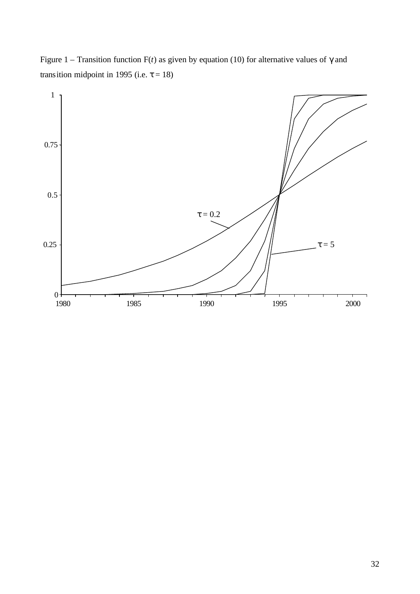Figure 1 – Transition function F(*t*) as given by equation (10) for alternative values of *g* and transition midpoint in 1995 (i.e.  $t = 18$ )